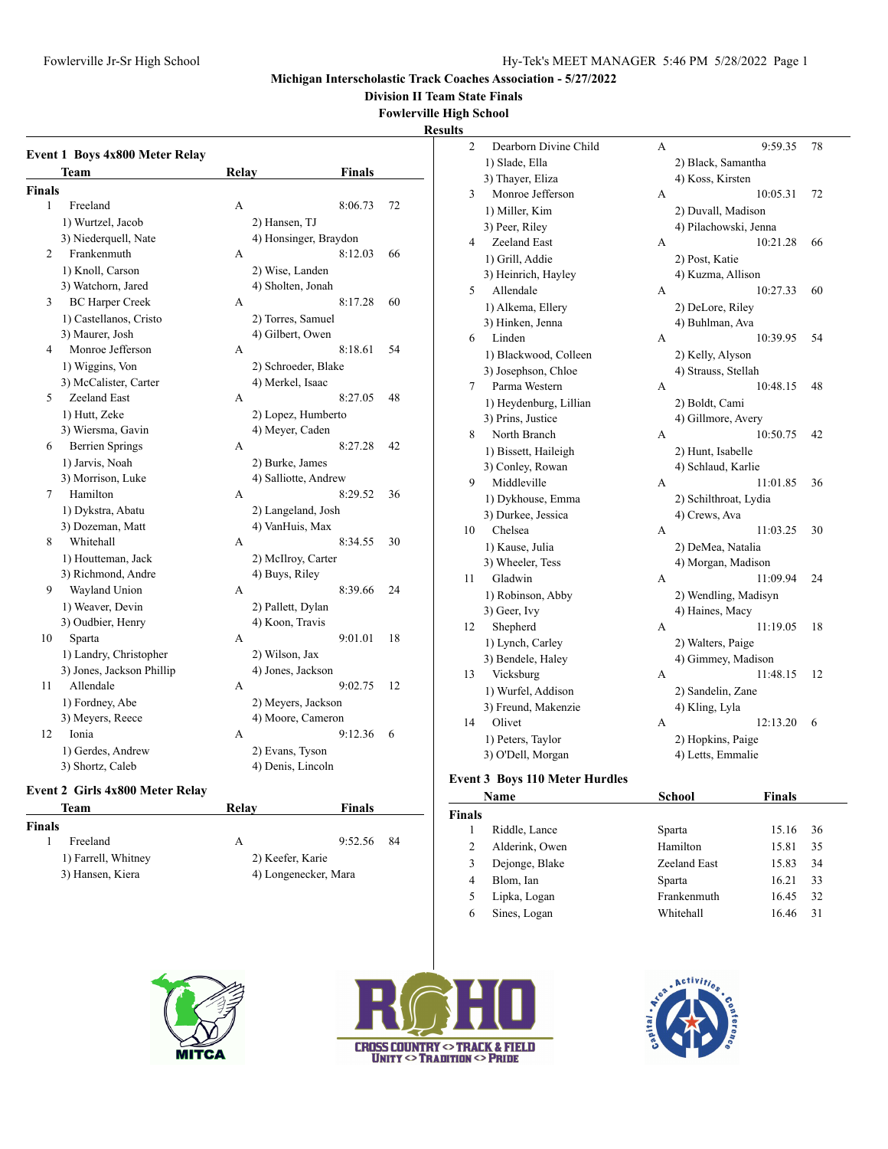**Division II Team State Finals**

**Fowlerville High School**

#### **Results**

| Team<br><b>Relay</b><br>Finals<br><b>Finals</b><br>1<br>Freeland<br>72<br>А<br>8:06.73<br>1) Wurtzel, Jacob<br>2) Hansen, TJ<br>3) Niederquell, Nate<br>4) Honsinger, Braydon<br>Frankenmuth<br>$\overline{2}$<br>8:12.03<br>66<br>A<br>1) Knoll, Carson<br>2) Wise, Landen<br>3) Watchorn, Jared<br>4) Sholten, Jonah<br>3<br><b>BC Harper Creek</b><br>8:17.28<br>A<br>60<br>1) Castellanos, Cristo<br>2) Torres, Samuel<br>4) Gilbert, Owen<br>3) Maurer, Josh<br>Monroe Jefferson<br>8:18.61<br>4<br>54<br>A<br>2) Schroeder, Blake<br>1) Wiggins, Von<br>3) McCalister, Carter<br>4) Merkel, Isaac<br>Zeeland East<br>5<br>8:27.05<br>48<br>A<br>1) Hutt, Zeke<br>2) Lopez, Humberto<br>3) Wiersma, Gavin<br>4) Meyer, Caden<br><b>Berrien Springs</b><br>8:27.28<br>6<br>A<br>42<br>1) Jarvis, Noah<br>2) Burke, James<br>3) Morrison, Luke<br>4) Salliotte, Andrew<br>Hamilton<br>8:29.52<br>7<br>36<br>A<br>1) Dykstra, Abatu<br>2) Langeland, Josh<br>3) Dozeman, Matt<br>4) VanHuis, Max<br>Whitehall<br>8<br>8:34.55<br>30<br>A<br>1) Houtteman, Jack<br>2) McIlroy, Carter<br>4) Buys, Riley<br>3) Richmond, Andre<br>9<br>Wayland Union<br>8:39.66<br>24<br>А<br>1) Weaver, Devin<br>2) Pallett, Dylan<br>3) Oudbier, Henry<br>4) Koon, Travis<br>10<br>Sparta<br>9:01.01<br>18<br>A<br>1) Landry, Christopher<br>2) Wilson, Jax<br>3) Jones, Jackson Phillip<br>4) Jones, Jackson<br>11<br>Allendale<br>9:02.75<br>12<br>А<br>2) Meyers, Jackson<br>1) Fordney, Abe<br>4) Moore, Cameron | Event 1 Boys 4x800 Meter Relay |  |  |
|--------------------------------------------------------------------------------------------------------------------------------------------------------------------------------------------------------------------------------------------------------------------------------------------------------------------------------------------------------------------------------------------------------------------------------------------------------------------------------------------------------------------------------------------------------------------------------------------------------------------------------------------------------------------------------------------------------------------------------------------------------------------------------------------------------------------------------------------------------------------------------------------------------------------------------------------------------------------------------------------------------------------------------------------------------------------------------------------------------------------------------------------------------------------------------------------------------------------------------------------------------------------------------------------------------------------------------------------------------------------------------------------------------------------------------------------------------------------------------------------------------|--------------------------------|--|--|
|                                                                                                                                                                                                                                                                                                                                                                                                                                                                                                                                                                                                                                                                                                                                                                                                                                                                                                                                                                                                                                                                                                                                                                                                                                                                                                                                                                                                                                                                                                        |                                |  |  |
|                                                                                                                                                                                                                                                                                                                                                                                                                                                                                                                                                                                                                                                                                                                                                                                                                                                                                                                                                                                                                                                                                                                                                                                                                                                                                                                                                                                                                                                                                                        |                                |  |  |
|                                                                                                                                                                                                                                                                                                                                                                                                                                                                                                                                                                                                                                                                                                                                                                                                                                                                                                                                                                                                                                                                                                                                                                                                                                                                                                                                                                                                                                                                                                        |                                |  |  |
|                                                                                                                                                                                                                                                                                                                                                                                                                                                                                                                                                                                                                                                                                                                                                                                                                                                                                                                                                                                                                                                                                                                                                                                                                                                                                                                                                                                                                                                                                                        |                                |  |  |
|                                                                                                                                                                                                                                                                                                                                                                                                                                                                                                                                                                                                                                                                                                                                                                                                                                                                                                                                                                                                                                                                                                                                                                                                                                                                                                                                                                                                                                                                                                        |                                |  |  |
|                                                                                                                                                                                                                                                                                                                                                                                                                                                                                                                                                                                                                                                                                                                                                                                                                                                                                                                                                                                                                                                                                                                                                                                                                                                                                                                                                                                                                                                                                                        |                                |  |  |
|                                                                                                                                                                                                                                                                                                                                                                                                                                                                                                                                                                                                                                                                                                                                                                                                                                                                                                                                                                                                                                                                                                                                                                                                                                                                                                                                                                                                                                                                                                        |                                |  |  |
|                                                                                                                                                                                                                                                                                                                                                                                                                                                                                                                                                                                                                                                                                                                                                                                                                                                                                                                                                                                                                                                                                                                                                                                                                                                                                                                                                                                                                                                                                                        |                                |  |  |
|                                                                                                                                                                                                                                                                                                                                                                                                                                                                                                                                                                                                                                                                                                                                                                                                                                                                                                                                                                                                                                                                                                                                                                                                                                                                                                                                                                                                                                                                                                        |                                |  |  |
|                                                                                                                                                                                                                                                                                                                                                                                                                                                                                                                                                                                                                                                                                                                                                                                                                                                                                                                                                                                                                                                                                                                                                                                                                                                                                                                                                                                                                                                                                                        |                                |  |  |
|                                                                                                                                                                                                                                                                                                                                                                                                                                                                                                                                                                                                                                                                                                                                                                                                                                                                                                                                                                                                                                                                                                                                                                                                                                                                                                                                                                                                                                                                                                        |                                |  |  |
|                                                                                                                                                                                                                                                                                                                                                                                                                                                                                                                                                                                                                                                                                                                                                                                                                                                                                                                                                                                                                                                                                                                                                                                                                                                                                                                                                                                                                                                                                                        |                                |  |  |
|                                                                                                                                                                                                                                                                                                                                                                                                                                                                                                                                                                                                                                                                                                                                                                                                                                                                                                                                                                                                                                                                                                                                                                                                                                                                                                                                                                                                                                                                                                        |                                |  |  |
|                                                                                                                                                                                                                                                                                                                                                                                                                                                                                                                                                                                                                                                                                                                                                                                                                                                                                                                                                                                                                                                                                                                                                                                                                                                                                                                                                                                                                                                                                                        |                                |  |  |
|                                                                                                                                                                                                                                                                                                                                                                                                                                                                                                                                                                                                                                                                                                                                                                                                                                                                                                                                                                                                                                                                                                                                                                                                                                                                                                                                                                                                                                                                                                        |                                |  |  |
|                                                                                                                                                                                                                                                                                                                                                                                                                                                                                                                                                                                                                                                                                                                                                                                                                                                                                                                                                                                                                                                                                                                                                                                                                                                                                                                                                                                                                                                                                                        |                                |  |  |
|                                                                                                                                                                                                                                                                                                                                                                                                                                                                                                                                                                                                                                                                                                                                                                                                                                                                                                                                                                                                                                                                                                                                                                                                                                                                                                                                                                                                                                                                                                        |                                |  |  |
|                                                                                                                                                                                                                                                                                                                                                                                                                                                                                                                                                                                                                                                                                                                                                                                                                                                                                                                                                                                                                                                                                                                                                                                                                                                                                                                                                                                                                                                                                                        |                                |  |  |
|                                                                                                                                                                                                                                                                                                                                                                                                                                                                                                                                                                                                                                                                                                                                                                                                                                                                                                                                                                                                                                                                                                                                                                                                                                                                                                                                                                                                                                                                                                        |                                |  |  |
|                                                                                                                                                                                                                                                                                                                                                                                                                                                                                                                                                                                                                                                                                                                                                                                                                                                                                                                                                                                                                                                                                                                                                                                                                                                                                                                                                                                                                                                                                                        |                                |  |  |
|                                                                                                                                                                                                                                                                                                                                                                                                                                                                                                                                                                                                                                                                                                                                                                                                                                                                                                                                                                                                                                                                                                                                                                                                                                                                                                                                                                                                                                                                                                        |                                |  |  |
|                                                                                                                                                                                                                                                                                                                                                                                                                                                                                                                                                                                                                                                                                                                                                                                                                                                                                                                                                                                                                                                                                                                                                                                                                                                                                                                                                                                                                                                                                                        |                                |  |  |
|                                                                                                                                                                                                                                                                                                                                                                                                                                                                                                                                                                                                                                                                                                                                                                                                                                                                                                                                                                                                                                                                                                                                                                                                                                                                                                                                                                                                                                                                                                        |                                |  |  |
|                                                                                                                                                                                                                                                                                                                                                                                                                                                                                                                                                                                                                                                                                                                                                                                                                                                                                                                                                                                                                                                                                                                                                                                                                                                                                                                                                                                                                                                                                                        |                                |  |  |
|                                                                                                                                                                                                                                                                                                                                                                                                                                                                                                                                                                                                                                                                                                                                                                                                                                                                                                                                                                                                                                                                                                                                                                                                                                                                                                                                                                                                                                                                                                        |                                |  |  |
|                                                                                                                                                                                                                                                                                                                                                                                                                                                                                                                                                                                                                                                                                                                                                                                                                                                                                                                                                                                                                                                                                                                                                                                                                                                                                                                                                                                                                                                                                                        |                                |  |  |
|                                                                                                                                                                                                                                                                                                                                                                                                                                                                                                                                                                                                                                                                                                                                                                                                                                                                                                                                                                                                                                                                                                                                                                                                                                                                                                                                                                                                                                                                                                        |                                |  |  |
|                                                                                                                                                                                                                                                                                                                                                                                                                                                                                                                                                                                                                                                                                                                                                                                                                                                                                                                                                                                                                                                                                                                                                                                                                                                                                                                                                                                                                                                                                                        |                                |  |  |
|                                                                                                                                                                                                                                                                                                                                                                                                                                                                                                                                                                                                                                                                                                                                                                                                                                                                                                                                                                                                                                                                                                                                                                                                                                                                                                                                                                                                                                                                                                        |                                |  |  |
|                                                                                                                                                                                                                                                                                                                                                                                                                                                                                                                                                                                                                                                                                                                                                                                                                                                                                                                                                                                                                                                                                                                                                                                                                                                                                                                                                                                                                                                                                                        |                                |  |  |
|                                                                                                                                                                                                                                                                                                                                                                                                                                                                                                                                                                                                                                                                                                                                                                                                                                                                                                                                                                                                                                                                                                                                                                                                                                                                                                                                                                                                                                                                                                        |                                |  |  |
|                                                                                                                                                                                                                                                                                                                                                                                                                                                                                                                                                                                                                                                                                                                                                                                                                                                                                                                                                                                                                                                                                                                                                                                                                                                                                                                                                                                                                                                                                                        |                                |  |  |
|                                                                                                                                                                                                                                                                                                                                                                                                                                                                                                                                                                                                                                                                                                                                                                                                                                                                                                                                                                                                                                                                                                                                                                                                                                                                                                                                                                                                                                                                                                        |                                |  |  |
|                                                                                                                                                                                                                                                                                                                                                                                                                                                                                                                                                                                                                                                                                                                                                                                                                                                                                                                                                                                                                                                                                                                                                                                                                                                                                                                                                                                                                                                                                                        |                                |  |  |
|                                                                                                                                                                                                                                                                                                                                                                                                                                                                                                                                                                                                                                                                                                                                                                                                                                                                                                                                                                                                                                                                                                                                                                                                                                                                                                                                                                                                                                                                                                        | 3) Meyers, Reece               |  |  |
| 12<br>Ionia<br>9:12.36<br>6<br>A                                                                                                                                                                                                                                                                                                                                                                                                                                                                                                                                                                                                                                                                                                                                                                                                                                                                                                                                                                                                                                                                                                                                                                                                                                                                                                                                                                                                                                                                       |                                |  |  |
| 1) Gerdes, Andrew<br>2) Evans, Tyson                                                                                                                                                                                                                                                                                                                                                                                                                                                                                                                                                                                                                                                                                                                                                                                                                                                                                                                                                                                                                                                                                                                                                                                                                                                                                                                                                                                                                                                                   |                                |  |  |
| 4) Denis, Lincoln<br>3) Shortz, Caleb                                                                                                                                                                                                                                                                                                                                                                                                                                                                                                                                                                                                                                                                                                                                                                                                                                                                                                                                                                                                                                                                                                                                                                                                                                                                                                                                                                                                                                                                  |                                |  |  |

# **Event 2 Girls 4x800 Meter Relay**

#### **Team Relay Finals Finals**

| ıals |                     |                      |         |    |
|------|---------------------|----------------------|---------|----|
|      | Freeland            |                      | 9:52.56 | 84 |
|      | 1) Farrell, Whitney | 2) Keefer, Karie     |         |    |
|      | 3) Hansen, Kiera    | 4) Longenecker, Mara |         |    |
|      |                     |                      |         |    |

| $\overline{c}$ | Dearborn Divine Child  | А | 9:59.35               | 78 |
|----------------|------------------------|---|-----------------------|----|
|                | 1) Slade, Ella         |   | 2) Black, Samantha    |    |
|                | 3) Thayer, Eliza       |   | 4) Koss, Kirsten      |    |
| 3              | Monroe Jefferson       | А | 10:05.31              | 72 |
|                | 1) Miller, Kim         |   | 2) Duvall, Madison    |    |
|                | 3) Peer, Riley         |   | 4) Pilachowski, Jenna |    |
| 4              | Zeeland East           | А | 10:21.28              | 66 |
|                | 1) Grill, Addie        |   | 2) Post, Katie        |    |
|                | 3) Heinrich, Hayley    |   | 4) Kuzma, Allison     |    |
| 5              | Allendale              | A | 10:27.33              | 60 |
|                | 1) Alkema, Ellery      |   | 2) DeLore, Riley      |    |
|                | 3) Hinken, Jenna       |   | 4) Buhlman, Ava       |    |
| 6              | Linden                 | А | 10:39.95              | 54 |
|                | 1) Blackwood, Colleen  |   | 2) Kelly, Alyson      |    |
|                | 3) Josephson, Chloe    |   | 4) Strauss, Stellah   |    |
| 7              | Parma Western          | А | 10:48.15              | 48 |
|                | 1) Heydenburg, Lillian |   | 2) Boldt, Cami        |    |
|                | 3) Prins, Justice      |   | 4) Gillmore, Avery    |    |
| 8              | North Branch           | A | 10:50.75              | 42 |
|                | 1) Bissett, Haileigh   |   | 2) Hunt, Isabelle     |    |
|                | 3) Conley, Rowan       |   | 4) Schlaud, Karlie    |    |
| 9              | Middleville            | A | 11:01.85              | 36 |
|                | 1) Dykhouse, Emma      |   | 2) Schilthroat, Lydia |    |
|                | 3) Durkee, Jessica     |   | 4) Crews, Ava         |    |
| 10             | Chelsea                | А | 11:03.25              | 30 |
|                | 1) Kause, Julia        |   | 2) DeMea, Natalia     |    |
|                | 3) Wheeler, Tess       |   | 4) Morgan, Madison    |    |
| 11             | Gladwin                | А | 11:09.94              | 24 |
|                | 1) Robinson, Abby      |   | 2) Wendling, Madisyn  |    |
|                | 3) Geer, Ivy           |   | 4) Haines, Macy       |    |
| 12             | Shepherd               | A | 11:19.05              | 18 |
|                | 1) Lynch, Carley       |   | 2) Walters, Paige     |    |
|                | 3) Bendele, Haley      |   | 4) Gimmey, Madison    |    |
| 13             | Vicksburg              | А | 11:48.15              | 12 |
|                | 1) Wurfel, Addison     |   | 2) Sandelin, Zane     |    |
|                | 3) Freund, Makenzie    |   | 4) Kling, Lyla        |    |
| 14             | Olivet                 | А | 12:13.20              | 6  |
|                | 1) Peters, Taylor      |   | 2) Hopkins, Paige     |    |
|                | 3) O'Dell, Morgan      |   | 4) Letts, Emmalie     |    |

### **Event 3 Boys 110 Meter Hurdles**

| Name          |                | School       | <b>Finals</b> |    |
|---------------|----------------|--------------|---------------|----|
| <b>Finals</b> |                |              |               |    |
|               | Riddle, Lance  | Sparta       | 15.16         | 36 |
| 2             | Alderink, Owen | Hamilton     | 15.81         | 35 |
| 3             | Dejonge, Blake | Zeeland East | 15.83         | 34 |
| 4             | Blom, Ian      | Sparta       | 16.21         | 33 |
| 5             | Lipka, Logan   | Frankenmuth  | 16.45         | 32 |
| 6             | Sines, Logan   | Whitehall    | 16.46         | 31 |





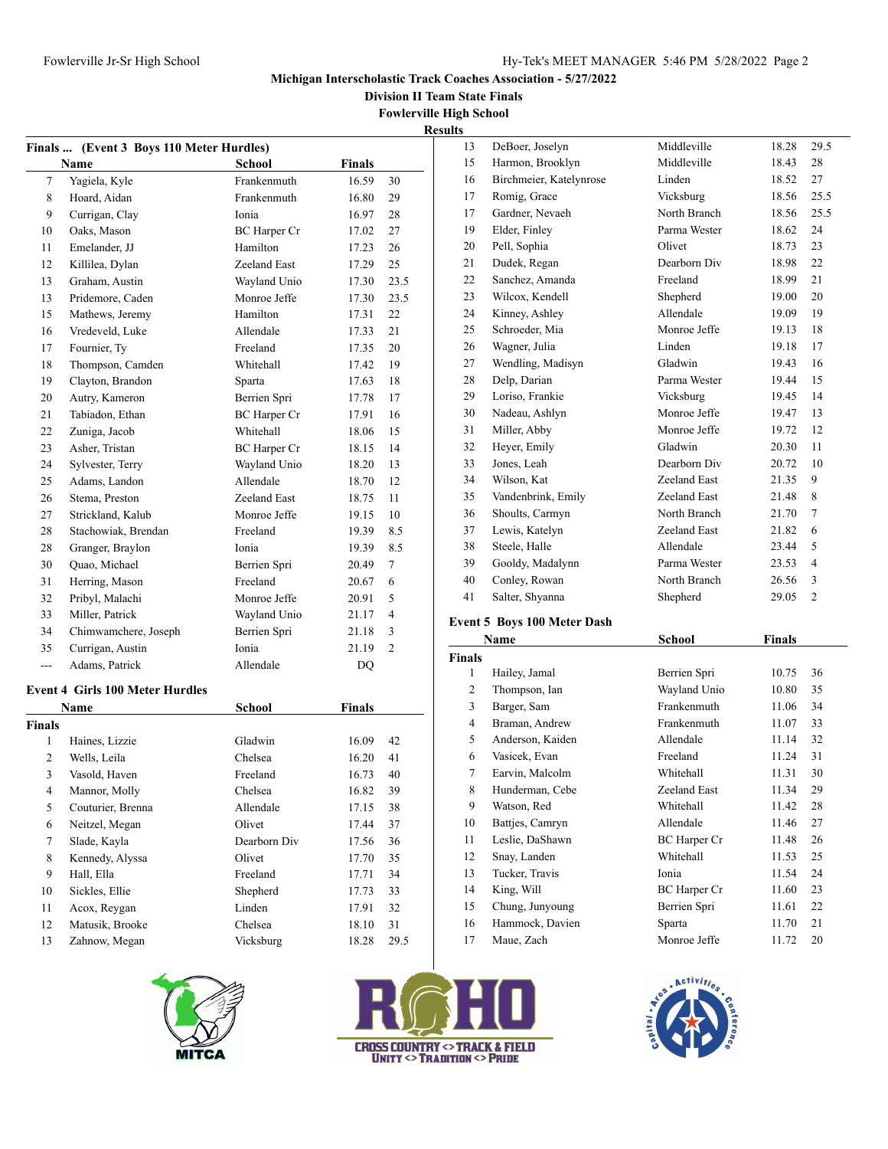**Division II Team State Finals**

**Fowlerville High School Results**

|               | Finals  (Event 3 Boys 110 Meter Hurdles) |                     |        |                |  |  |  |
|---------------|------------------------------------------|---------------------|--------|----------------|--|--|--|
|               | Name                                     | School              | Finals |                |  |  |  |
| 7             | Yagiela, Kyle                            | Frankenmuth         | 16.59  | 30             |  |  |  |
| 8             | Hoard, Aidan                             | Frankenmuth         | 16.80  | 29             |  |  |  |
| 9             | Currigan, Clay                           | Ionia               | 16.97  | 28             |  |  |  |
| 10            | Oaks, Mason                              | <b>BC</b> Harper Cr | 17.02  | 27             |  |  |  |
| 11            | Emelander, JJ                            | Hamilton            | 17.23  | 26             |  |  |  |
| 12            | Killilea, Dylan                          | Zeeland East        | 17.29  | 25             |  |  |  |
| 13            | Graham, Austin                           | Wayland Unio        | 17.30  | 23.5           |  |  |  |
| 13            | Pridemore, Caden                         | Monroe Jeffe        | 17.30  | 23.5           |  |  |  |
| 15            | Mathews, Jeremy                          | Hamilton            | 17.31  | 22             |  |  |  |
| 16            | Vredeveld, Luke                          | Allendale           | 17.33  | 21             |  |  |  |
| 17            | Fournier, Ty                             | Freeland            | 17.35  | 20             |  |  |  |
| 18            | Thompson, Camden                         | Whitehall           | 17.42  | 19             |  |  |  |
| 19            | Clayton, Brandon                         | Sparta              | 17.63  | 18             |  |  |  |
| 20            | Autry, Kameron                           | Berrien Spri        | 17.78  | 17             |  |  |  |
| 21            | Tabiadon, Ethan                          | BC Harper Cr        | 17.91  | 16             |  |  |  |
| 22            | Zuniga, Jacob                            | Whitehall           | 18.06  | 15             |  |  |  |
| 23            | Asher, Tristan                           | <b>BC</b> Harper Cr | 18.15  | 14             |  |  |  |
| 24            | Sylvester, Terry                         | Wayland Unio        | 18.20  | 13             |  |  |  |
| 25            | Adams, Landon                            | Allendale           | 18.70  | 12             |  |  |  |
| 26            | Stema, Preston                           | Zeeland East        | 18.75  | 11             |  |  |  |
| 27            | Strickland, Kalub                        | Monroe Jeffe        | 19.15  | 10             |  |  |  |
| 28            | Stachowiak, Brendan                      | Freeland            | 19.39  | 8.5            |  |  |  |
| 28            | Granger, Braylon                         | Ionia               | 19.39  | 8.5            |  |  |  |
| 30            | Quao, Michael                            | Berrien Spri        | 20.49  | 7              |  |  |  |
| 31            | Herring, Mason                           | Freeland            | 20.67  | 6              |  |  |  |
| 32            | Pribyl, Malachi                          | Monroe Jeffe        | 20.91  | 5              |  |  |  |
| 33            | Miller, Patrick                          | Wayland Unio        | 21.17  | 4              |  |  |  |
| 34            | Chimwamchere, Joseph                     | Berrien Spri        | 21.18  | 3              |  |  |  |
| 35            | Currigan, Austin                         | Ionia               | 21.19  | $\overline{c}$ |  |  |  |
| ---           | Adams, Patrick                           | Allendale           | DQ     |                |  |  |  |
|               | <b>Event 4 Girls 100 Meter Hurdles</b>   |                     |        |                |  |  |  |
|               | Name                                     | School              | Finals |                |  |  |  |
| <b>Finals</b> |                                          |                     |        |                |  |  |  |
| 1             | Haines, Lizzie                           | Gladwin             | 16.09  | 42             |  |  |  |
| 2             | Wells, Leila                             | Chelsea             | 16.20  | 41             |  |  |  |
| 3             | Vasold, Haven                            | Freeland            | 16.73  | 40             |  |  |  |
| 4             | Mannor, Molly                            | Chelsea             | 16.82  | 39             |  |  |  |
| 5             | Couturier, Brenna                        | Allendale           | 17.15  | 38             |  |  |  |
| 6             | Neitzel, Megan                           | Olivet              | 17.44  | 37             |  |  |  |
| 7             | Slade, Kayla                             | Dearborn Div        | 17.56  | 36             |  |  |  |
| 8             | Kennedy, Alyssa                          | Olivet              | 17.70  | 35             |  |  |  |
| 9             | Hall, Ella                               | Freeland            | 17.71  | 34             |  |  |  |
| $10\,$        | Sickles, Ellie                           | Shepherd            | 17.73  | 33             |  |  |  |
| 11            | Acox, Reygan                             | Linden              | 17.91  | 32             |  |  |  |
| 12            | Matusik, Brooke                          | Chelsea             | 18.10  | 31             |  |  |  |
| 13            | Zahnow, Megan                            | Vicksburg           | 18.28  | 29.5           |  |  |  |
|               |                                          |                     |        |                |  |  |  |





| 13 | DeBoer, Joselyn         | Middleville  | 18.28 | 29.5           |
|----|-------------------------|--------------|-------|----------------|
| 15 | Harmon, Brooklyn        | Middleville  | 18.43 | 28             |
| 16 | Birchmeier, Katelynrose | Linden       | 18.52 | 27             |
| 17 | Romig, Grace            | Vicksburg    | 18.56 | 25.5           |
| 17 | Gardner, Nevaeh         | North Branch | 18.56 | 25.5           |
| 19 | Elder, Finley           | Parma Wester | 18.62 | 24             |
| 20 | Pell, Sophia            | Olivet       | 18.73 | 23             |
| 21 | Dudek, Regan            | Dearborn Div | 18.98 | 22             |
| 22 | Sanchez, Amanda         | Freeland     | 18.99 | 21             |
| 23 | Wilcox, Kendell         | Shepherd     | 19.00 | 20             |
| 24 | Kinney, Ashley          | Allendale    | 19.09 | 19             |
| 25 | Schroeder, Mia          | Monroe Jeffe | 19.13 | 18             |
| 26 | Wagner, Julia           | Linden       | 19.18 | 17             |
| 27 | Wendling, Madisyn       | Gladwin      | 19.43 | 16             |
| 28 | Delp, Darian            | Parma Wester | 19.44 | 15             |
| 29 | Loriso, Frankie         | Vicksburg    | 19.45 | 14             |
| 30 | Nadeau, Ashlyn          | Monroe Jeffe | 19.47 | 13             |
| 31 | Miller, Abby            | Monroe Jeffe | 19.72 | 12             |
| 32 | Heyer, Emily            | Gladwin      | 20.30 | 11             |
| 33 | Jones, Leah             | Dearborn Div | 20.72 | 10             |
| 34 | Wilson, Kat             | Zeeland East | 21.35 | 9              |
| 35 | Vandenbrink, Emily      | Zeeland East | 21.48 | 8              |
| 36 | Shoults, Carmyn         | North Branch | 21.70 | $\tau$         |
| 37 | Lewis, Katelyn          | Zeeland East | 21.82 | 6              |
| 38 | Steele, Halle           | Allendale    | 23.44 | 5              |
| 39 | Gooldy, Madalynn        | Parma Wester | 23.53 | 4              |
| 40 | Conley, Rowan           | North Branch | 26.56 | 3              |
| 41 | Salter, Shyanna         | Shepherd     | 29.05 | $\overline{c}$ |

# **Event 5 Boys 100 Meter Dash**

|               | Name             | School              | Finals |    |
|---------------|------------------|---------------------|--------|----|
| <b>Finals</b> |                  |                     |        |    |
| 1             | Hailey, Jamal    | Berrien Spri        | 10.75  | 36 |
| 2             | Thompson, Ian    | Wayland Unio        | 10.80  | 35 |
| 3             | Barger, Sam      | Frankenmuth         | 11.06  | 34 |
| 4             | Braman, Andrew   | Frankenmuth         | 11.07  | 33 |
| 5             | Anderson, Kaiden | Allendale           | 11.14  | 32 |
| 6             | Vasicek, Evan    | Freeland            | 11.24  | 31 |
| 7             | Earvin, Malcolm  | Whitehall           | 11.31  | 30 |
| 8             | Hunderman, Cebe  | Zeeland East        | 11.34  | 29 |
| 9             | Watson, Red      | Whitehall           | 11.42  | 28 |
| 10            | Battjes, Camryn  | Allendale           | 11.46  | 27 |
| 11            | Leslie, DaShawn  | <b>BC</b> Harper Cr | 11.48  | 26 |
| 12            | Snay, Landen     | Whitehall           | 11.53  | 25 |
| 13            | Tucker, Travis   | Ionia               | 11.54  | 24 |
| 14            | King, Will       | BC Harper Cr        | 11.60  | 23 |
| 15            | Chung, Junyoung  | Berrien Spri        | 11.61  | 22 |
| 16            | Hammock, Davien  | Sparta              | 11.70  | 21 |
| 17            | Maue, Zach       | Monroe Jeffe        | 11.72  | 20 |
|               |                  |                     |        |    |

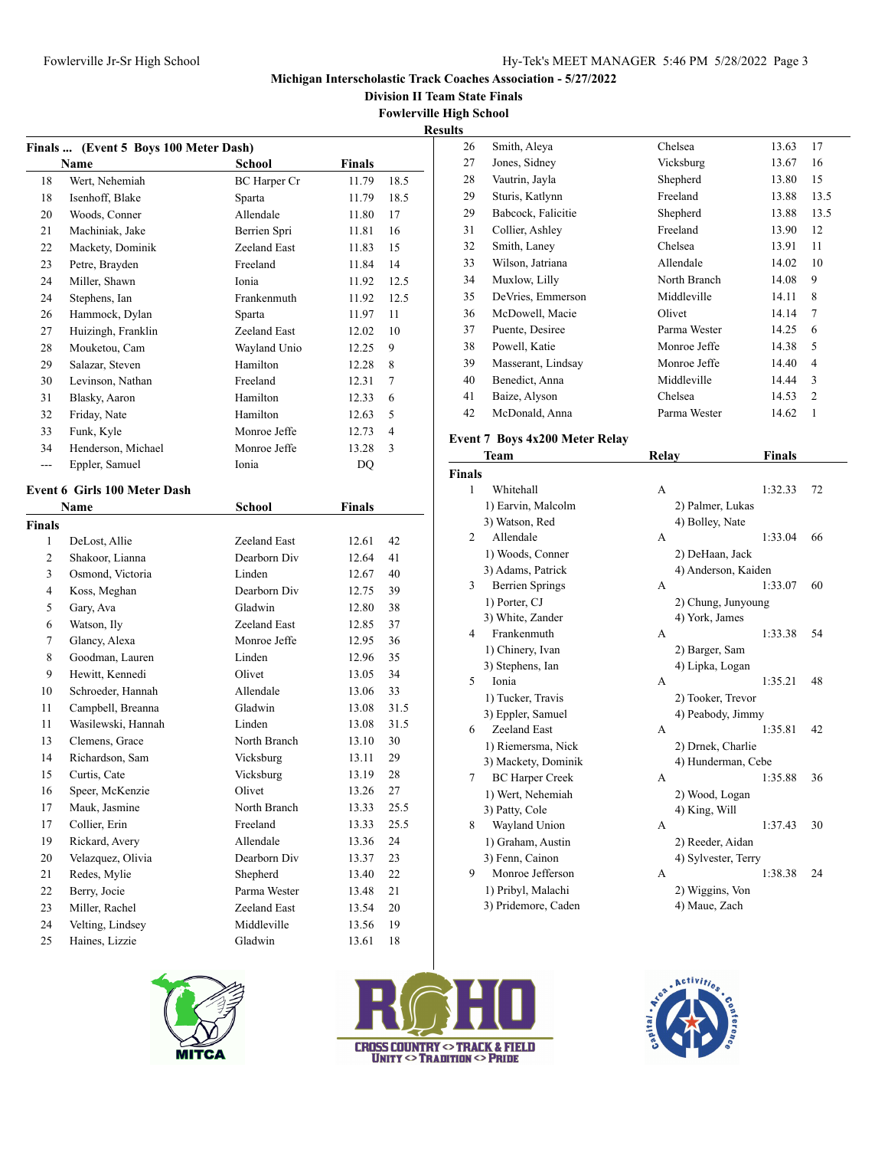**Division II Team State Finals**

**Fowlerville High School**

|                |                                               |               |               |                | <b>Results</b> |
|----------------|-----------------------------------------------|---------------|---------------|----------------|----------------|
|                | Finals  (Event 5 Boys 100 Meter Dash)<br>Name | <b>School</b> | Finals        |                |                |
| 18             | Wert, Nehemiah                                | BC Harper Cr  | 11.79         | 18.5           |                |
| 18             | Isenhoff, Blake                               | Sparta        | 11.79         | 18.5           |                |
| 20             | Woods, Conner                                 | Allendale     | 11.80         | 17             |                |
| 21             | Machiniak, Jake                               | Berrien Spri  | 11.81         | 16             |                |
| 22             | Mackety, Dominik                              | Zeeland East  | 11.83         | 15             |                |
| 23             | Petre, Brayden                                | Freeland      | 11.84         | 14             |                |
| 24             | Miller, Shawn                                 | Ionia         | 11.92         | 12.5           |                |
| 24             | Stephens, Ian                                 | Frankenmuth   | 11.92         | 12.5           |                |
| 26             | Hammock, Dylan                                | Sparta        | 11.97         | 11             |                |
| 27             | Huizingh, Franklin                            | Zeeland East  | 12.02         | 10             |                |
| 28             | Mouketou, Cam                                 | Wayland Unio  | 12.25         | 9              |                |
| 29             | Salazar, Steven                               | Hamilton      | 12.28         | 8              |                |
| 30             | Levinson, Nathan                              | Freeland      | 12.31         | 7              |                |
| 31             | Blasky, Aaron                                 | Hamilton      | 12.33         | 6              |                |
| 32             | Friday, Nate                                  | Hamilton      | 12.63         | 5              |                |
| 33             | Funk, Kyle                                    | Monroe Jeffe  | 12.73         | $\overline{4}$ |                |
| 34             | Henderson, Michael                            | Monroe Jeffe  | 13.28         | 3              | $E_{\bf V}$    |
| $\overline{a}$ | Eppler, Samuel                                | Ionia         | DQ            |                |                |
|                |                                               |               |               |                | Fin            |
|                | <b>Event 6 Girls 100 Meter Dash</b>           |               |               |                |                |
|                | Name                                          | <b>School</b> | <b>Finals</b> |                |                |
| Finals         |                                               |               |               |                |                |
| 1              | DeLost, Allie                                 | Zeeland East  | 12.61         | 42             |                |
| $\overline{2}$ | Shakoor, Lianna                               | Dearborn Div  | 12.64         | 41             |                |
| 3              | Osmond, Victoria                              | Linden        | 12.67         | 40             |                |
| 4              | Koss, Meghan                                  | Dearborn Div  | 12.75         | 39             |                |
| 5              | Gary, Ava                                     | Gladwin       | 12.80         | 38             |                |
| 6              | Watson, Ily                                   | Zeeland East  | 12.85         | 37             |                |
| 7              | Glancy, Alexa                                 | Monroe Jeffe  | 12.95         | 36             |                |
| 8              | Goodman, Lauren                               | Linden        | 12.96         | 35             |                |
| 9              | Hewitt, Kennedi                               | Olivet        | 13.05         | 34             |                |
| 10             | Schroeder, Hannah                             | Allendale     | 13.06         | 33             |                |
| 11             | Campbell, Breanna                             | Gladwin       | 13.08         | 31.5           |                |
| 11             | Wasilewski, Hannah                            | Linden        | 13.08         | 31.5           |                |
| 13             | Clemens, Grace                                | North Branch  | 13.10         | 30             |                |
| 14             | Richardson, Sam                               | Vicksburg     | 13.11         | 29             |                |
| 15             | Curtis, Cate                                  | Vicksburg     | 13.19         | 28             |                |
| 16             | Speer, McKenzie                               | Olivet        | 13.26         | 27             |                |
| 17             | Mauk, Jasmine                                 | North Branch  | 13.33         | 25.5           |                |
| 17             | Collier, Erin                                 | Freeland      | 13.33         | 25.5           |                |
| 19             | Rickard, Avery                                | Allendale     | 13.36         | 24             |                |
| 20             | Velazquez, Olivia                             | Dearborn Div  | 13.37         | 23             |                |
| 21             | Redes, Mylie                                  | Shepherd      | 13.40         | 22             |                |
| 22             | Berry, Jocie                                  | Parma Wester  | 13.48         | 21             |                |
| 23             | Miller, Rachel                                | Zeeland East  | 13.54         | 20             |                |
| 24             | Velting, Lindsey                              | Middleville   | 13.56         | 19             |                |
| 25             | Haines, Lizzie                                | Gladwin       | 13.61         | 18             |                |
|                |                                               |               |               |                |                |



| <b>CROSS COUNTRY <math>\circ</math> TRACK &amp; FIELD</b><br><b>UNITY <math>\circ</math> TRADITION <math>\circ</math> PRIDE</b> |  |  |  |
|---------------------------------------------------------------------------------------------------------------------------------|--|--|--|

| ,  |                    |              |       |                |
|----|--------------------|--------------|-------|----------------|
| 26 | Smith, Aleya       | Chelsea      | 13.63 | 17             |
| 27 | Jones, Sidney      | Vicksburg    | 13.67 | 16             |
| 28 | Vautrin, Jayla     | Shepherd     | 13.80 | 15             |
| 29 | Sturis, Katlynn    | Freeland     | 13.88 | 13.5           |
| 29 | Babcock, Falicitie | Shepherd     | 13.88 | 13.5           |
| 31 | Collier, Ashley    | Freeland     | 13.90 | 12             |
| 32 | Smith, Laney       | Chelsea      | 13.91 | 11             |
| 33 | Wilson, Jatriana   | Allendale    | 14.02 | 10             |
| 34 | Muxlow, Lilly      | North Branch | 14.08 | 9              |
| 35 | DeVries, Emmerson  | Middleville  | 14.11 | 8              |
| 36 | McDowell, Macie    | Olivet       | 14.14 | 7              |
| 37 | Puente, Desiree    | Parma Wester | 14.25 | 6              |
| 38 | Powell, Katie      | Monroe Jeffe | 14.38 | 5              |
| 39 | Masserant, Lindsay | Monroe Jeffe | 14.40 | 4              |
| 40 | Benedict, Anna     | Middleville  | 14.44 | 3              |
| 41 | Baize, Alyson      | Chelsea      | 14.53 | $\overline{2}$ |
| 42 | McDonald, Anna     | Parma Wester | 14.62 | 1              |

# **Event 7 Boys 4x200 Meter Relay**

| Team                   | Relay |               |                                                                                                                                                                                                                                                                                                                                                                                    |  |
|------------------------|-------|---------------|------------------------------------------------------------------------------------------------------------------------------------------------------------------------------------------------------------------------------------------------------------------------------------------------------------------------------------------------------------------------------------|--|
| <b>Finals</b>          |       |               |                                                                                                                                                                                                                                                                                                                                                                                    |  |
| Whitehall              | A     | 1:32.33<br>72 |                                                                                                                                                                                                                                                                                                                                                                                    |  |
| 1) Earvin, Malcolm     |       |               |                                                                                                                                                                                                                                                                                                                                                                                    |  |
| 3) Watson, Red         |       |               |                                                                                                                                                                                                                                                                                                                                                                                    |  |
| Allendale              | A     | 66<br>1:33.04 |                                                                                                                                                                                                                                                                                                                                                                                    |  |
| 1) Woods, Conner       |       |               |                                                                                                                                                                                                                                                                                                                                                                                    |  |
| 3) Adams, Patrick      |       |               |                                                                                                                                                                                                                                                                                                                                                                                    |  |
| <b>Berrien Springs</b> | A     | 1:33.07<br>60 |                                                                                                                                                                                                                                                                                                                                                                                    |  |
| 1) Porter, CJ          |       |               |                                                                                                                                                                                                                                                                                                                                                                                    |  |
| 3) White, Zander       |       |               |                                                                                                                                                                                                                                                                                                                                                                                    |  |
| Frankenmuth            | A     | 1:33.38<br>54 |                                                                                                                                                                                                                                                                                                                                                                                    |  |
| 1) Chinery, Ivan       |       |               |                                                                                                                                                                                                                                                                                                                                                                                    |  |
| 3) Stephens, Ian       |       |               |                                                                                                                                                                                                                                                                                                                                                                                    |  |
| Ionia                  | A     | 1:35.21<br>48 |                                                                                                                                                                                                                                                                                                                                                                                    |  |
| 1) Tucker, Travis      |       |               |                                                                                                                                                                                                                                                                                                                                                                                    |  |
| 3) Eppler, Samuel      |       |               |                                                                                                                                                                                                                                                                                                                                                                                    |  |
| Zeeland East           | A     | 1:35.81<br>42 |                                                                                                                                                                                                                                                                                                                                                                                    |  |
| 1) Riemersma, Nick     |       |               |                                                                                                                                                                                                                                                                                                                                                                                    |  |
| 3) Mackety, Dominik    |       |               |                                                                                                                                                                                                                                                                                                                                                                                    |  |
| <b>BC Harper Creek</b> | A     | 1:35.88<br>36 |                                                                                                                                                                                                                                                                                                                                                                                    |  |
| 1) Wert, Nehemiah      |       |               |                                                                                                                                                                                                                                                                                                                                                                                    |  |
| 3) Patty, Cole         |       |               |                                                                                                                                                                                                                                                                                                                                                                                    |  |
| Wayland Union          | А     | 30<br>1:37.43 |                                                                                                                                                                                                                                                                                                                                                                                    |  |
| 1) Graham, Austin      |       |               |                                                                                                                                                                                                                                                                                                                                                                                    |  |
| 3) Fenn, Cainon        |       |               |                                                                                                                                                                                                                                                                                                                                                                                    |  |
| Monroe Jefferson       | А     | 24<br>1:38.38 |                                                                                                                                                                                                                                                                                                                                                                                    |  |
| 1) Pribyl, Malachi     |       |               |                                                                                                                                                                                                                                                                                                                                                                                    |  |
| 3) Pridemore, Caden    |       |               |                                                                                                                                                                                                                                                                                                                                                                                    |  |
|                        |       |               | <b>Finals</b><br>2) Palmer, Lukas<br>4) Bolley, Nate<br>2) DeHaan, Jack<br>4) Anderson, Kaiden<br>2) Chung, Junyoung<br>4) York, James<br>2) Barger, Sam<br>4) Lipka, Logan<br>2) Tooker, Trevor<br>4) Peabody, Jimmy<br>2) Drnek, Charlie<br>4) Hunderman, Cebe<br>2) Wood, Logan<br>4) King, Will<br>2) Reeder, Aidan<br>4) Sylvester, Terry<br>2) Wiggins, Von<br>4) Maue, Zach |  |

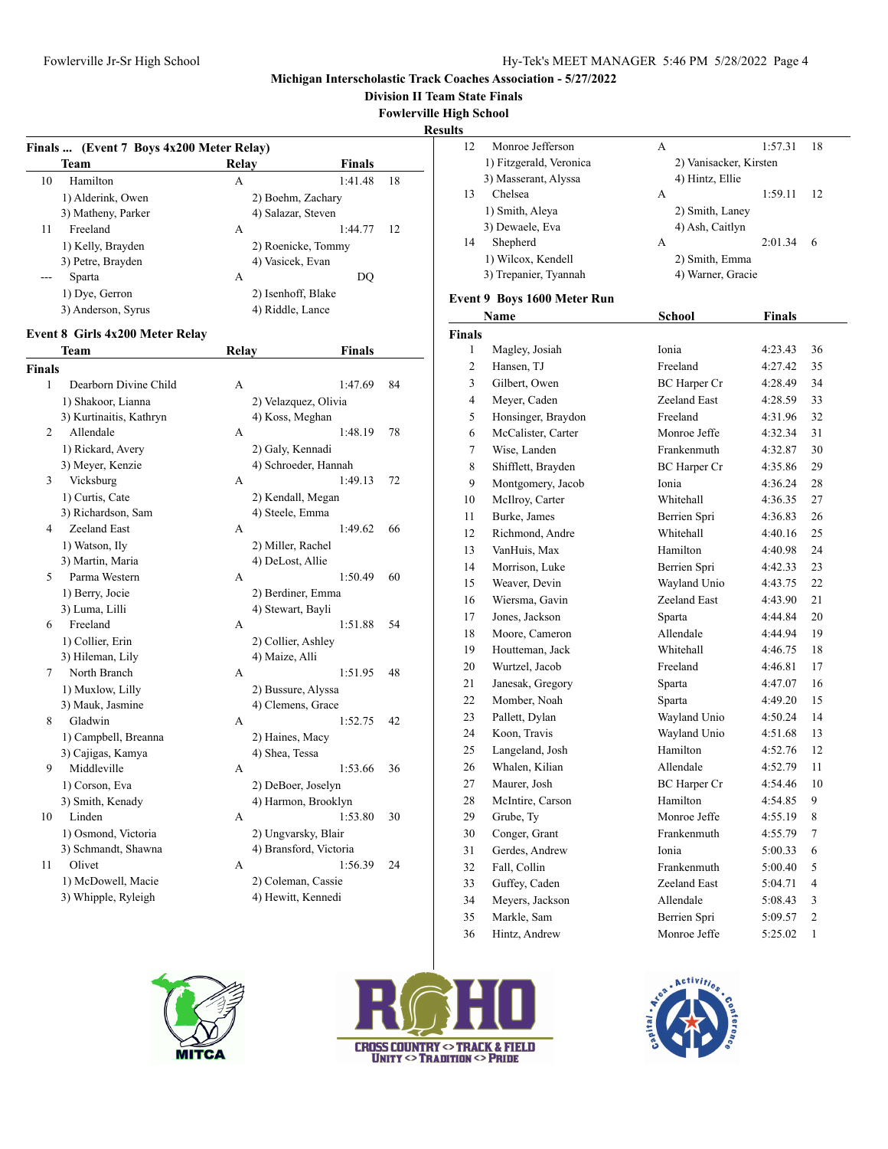#### **Michigan Interscholastic Track Coaches Association - 5/27/2022**

**Division II Team State Finals**

**Fowlerville High School**

|                               |                                          |                   |                      |    | <b>Results</b> |                             |                        |               |         |
|-------------------------------|------------------------------------------|-------------------|----------------------|----|----------------|-----------------------------|------------------------|---------------|---------|
|                               | Finals  (Event 7 Boys 4x200 Meter Relay) |                   |                      |    | 12             | Monroe Jefferson            | A                      | 1:57.31       | 18      |
|                               | <b>Team</b>                              | Relay             | <b>Finals</b>        |    |                | 1) Fitzgerald, Veronica     | 2) Vanisacker, Kirsten |               |         |
| 10                            | Hamilton                                 | $\mathbf{A}$      | 1:41.48              | 18 |                | 3) Masserant, Alyssa        | 4) Hintz, Ellie        |               |         |
|                               | 1) Alderink, Owen                        |                   | 2) Boehm, Zachary    |    | 13             | Chelsea                     | A                      | 1:59.11       | 12      |
|                               | 3) Matheny, Parker                       |                   | 4) Salazar, Steven   |    |                | 1) Smith, Aleya             | 2) Smith, Laney        |               |         |
| 11                            | Freeland                                 | A                 | 1:44.77              | 12 |                | 3) Dewaele, Eva             | 4) Ash, Caitlyn        |               |         |
|                               | 1) Kelly, Brayden                        |                   | 2) Roenicke, Tommy   |    | 14             | Shepherd                    | A                      | 2:01.34       | - 6     |
|                               | 3) Petre, Brayden                        | 4) Vasicek, Evan  |                      |    |                | 1) Wilcox, Kendell          | 2) Smith, Emma         |               |         |
|                               | Sparta                                   | A                 | DQ                   |    |                | 3) Trepanier, Tyannah       | 4) Warner, Gracie      |               |         |
|                               | 1) Dye, Gerron                           |                   | 2) Isenhoff, Blake   |    |                | Event 9 Boys 1600 Meter Run |                        |               |         |
|                               | 3) Anderson, Syrus                       | 4) Riddle, Lance  |                      |    |                | Name                        | <b>School</b>          | <b>Finals</b> |         |
|                               | <b>Event 8 Girls 4x200 Meter Relay</b>   |                   |                      |    | <b>Finals</b>  |                             |                        |               |         |
|                               | <b>Team</b>                              | Relay             | <b>Finals</b>        |    | 1              | Magley, Josiah              | Ionia                  | 4:23.43       | 36      |
|                               |                                          |                   |                      |    | $\overline{2}$ | Hansen, TJ                  | Freeland               | 4:27.42       | 35      |
| <b>Finals</b><br>$\mathbf{1}$ | Dearborn Divine Child                    | A                 | 1:47.69              | 84 | 3              | Gilbert, Owen               | <b>BC</b> Harper Cr    | 4:28.49       | 34      |
|                               | 1) Shakoor, Lianna                       |                   | 2) Velazquez, Olivia |    | $\overline{4}$ | Meyer, Caden                | Zeeland East           | 4:28.59       | 33      |
|                               | 3) Kurtinaitis, Kathryn                  | 4) Koss, Meghan   |                      |    | 5              | Honsinger, Braydon          | Freeland               | 4:31.96       | 32      |
| 2                             | Allendale                                | A                 | 1:48.19              | 78 | 6              | McCalister, Carter          | Monroe Jeffe           | 4:32.34       | 31      |
|                               | 1) Rickard, Avery                        | 2) Galy, Kennadi  |                      |    | $\overline{7}$ | Wise, Landen                | Frankenmuth            | 4:32.87       | 30      |
|                               | 3) Meyer, Kenzie                         |                   | 4) Schroeder, Hannah |    | 8              |                             |                        | 4:35.86       | 29      |
| 3                             | Vicksburg                                | A                 | 1:49.13              | 72 |                | Shifflett, Brayden          | BC Harper Cr           |               |         |
|                               | 1) Curtis, Cate                          |                   | 2) Kendall, Megan    |    | 9              | Montgomery, Jacob           | Ionia                  | 4:36.24       | 28      |
|                               | 3) Richardson, Sam                       | 4) Steele, Emma   |                      |    | 10             | McIlroy, Carter             | Whitehall              | 4:36.35       | 27      |
| $\overline{4}$                | Zeeland East                             | A                 | 1:49.62              | 66 | 11             | Burke, James                | Berrien Spri           | 4:36.83       | 26      |
|                               | 1) Watson, Ily                           | 2) Miller, Rachel |                      |    | 12             | Richmond, Andre             | Whitehall              | 4:40.16       | 25      |
|                               | 3) Martin, Maria                         | 4) DeLost, Allie  |                      |    | 13             | VanHuis, Max                | Hamilton               | 4:40.98       | 24      |
| 5                             | Parma Western                            | A                 | 1:50.49              | 60 | 14             | Morrison, Luke              | Berrien Spri           | 4:42.33       | 23      |
|                               | 1) Berry, Jocie                          |                   | 2) Berdiner, Emma    |    | 15             | Weaver, Devin               | Wayland Unio           | 4:43.75       | 22      |
|                               | 3) Luma, Lilli                           | 4) Stewart, Bayli |                      |    | 16             | Wiersma, Gavin              | Zeeland East           | 4:43.90       | 21      |
| 6                             | Freeland                                 | A                 | 1:51.88              | 54 | 17             | Jones, Jackson              | Sparta                 | 4:44.84       | 20      |
|                               | 1) Collier, Erin                         |                   | 2) Collier, Ashley   |    | 18             | Moore, Cameron              | Allendale              | 4:44.94       | 19      |
|                               | 3) Hileman, Lily                         | 4) Maize, Alli    |                      |    | 19             | Houtteman, Jack             | Whitehall              | 4:46.75       | 18      |
| $\tau$                        | North Branch                             | A                 | 1:51.95              | 48 | 20             | Wurtzel, Jacob              | Freeland               | 4:46.81       | 17      |
|                               | 1) Muxlow, Lilly                         |                   | 2) Bussure, Alyssa   |    | 21             | Janesak, Gregory            | Sparta                 | 4:47.07       | 16      |
|                               | 3) Mauk, Jasmine                         |                   | 4) Clemens, Grace    |    | 22             | Momber, Noah                | Sparta                 | 4:49.20       | 15      |
| 8                             | Gladwin                                  | A                 | 1:52.75              | 42 | 23             | Pallett, Dylan              | Wayland Unio           | 4:50.24       | 14      |
|                               | 1) Campbell, Breanna                     | 2) Haines, Macy   |                      |    | 24             | Koon, Travis                | Wayland Unio           | 4:51.68       | 13      |
|                               | 3) Cajigas, Kamya                        | 4) Shea, Tessa    |                      |    | 25             | Langeland, Josh             | Hamilton               | 4:52.76       | 12      |
| 9                             | Middleville                              | A                 | 1:53.66              | 36 | 26             | Whalen, Kilian              | Allendale              | 4:52.79       | 11      |
|                               | 1) Corson, Eva                           |                   | 2) DeBoer, Joselyn   |    | 27             | Maurer, Josh                | BC Harper Cr           | 4:54.46       | 10      |
|                               | 3) Smith, Kenady                         |                   | 4) Harmon, Brooklyn  |    | 28             | McIntire, Carson            | Hamilton               | 4:54.85       | 9       |
| 10                            | Linden                                   | A                 | 1:53.80              | 30 | 29             | Grube, Ty                   | Monroe Jeffe           | 4:55.19       | $\,8\,$ |
|                               | 1) Osmond, Victoria                      |                   | 2) Ungvarsky, Blair  |    | 30             | Conger, Grant               | Frankenmuth            | 4:55.79       | $\tau$  |

4) Bransford, Victoria

| 1) Osmond, Victoria |
|---------------------|
| 3) Schmandt, Shawna |

11 Olivet A 1:56.39 24 1) McDowell, Macie 2) Coleman, Cassie 3) Whipple, Ryleigh 4) Hewitt, Kennedi



- 
- 



#### **Event 9 Boys 1600 Meter Run**

| 29 | Grube, Ty       | Monroe Jeffe                          | 4:55.19 | 8              |
|----|-----------------|---------------------------------------|---------|----------------|
| 30 | Conger, Grant   | Frankenmuth                           | 4:55.79 | 7              |
| 31 | Gerdes, Andrew  | Ionia                                 | 5:00.33 | 6              |
| 32 | Fall, Collin    | Frankenmuth                           | 5:00.40 | 5              |
| 33 | Guffey, Caden   | Zeeland East                          | 5:04.71 | 4              |
| 34 | Meyers, Jackson | Allendale                             | 5:08.43 | 3              |
| 35 | Markle, Sam     | Berrien Spri                          | 5:09.57 | $\overline{2}$ |
| 36 | Hintz, Andrew   | Monroe Jeffe                          | 5:25.02 | 1              |
|    |                 | <b>Prica</b><br>Conterence<br>Capital |         |                |
|    |                 |                                       |         |                |
|    |                 |                                       |         |                |



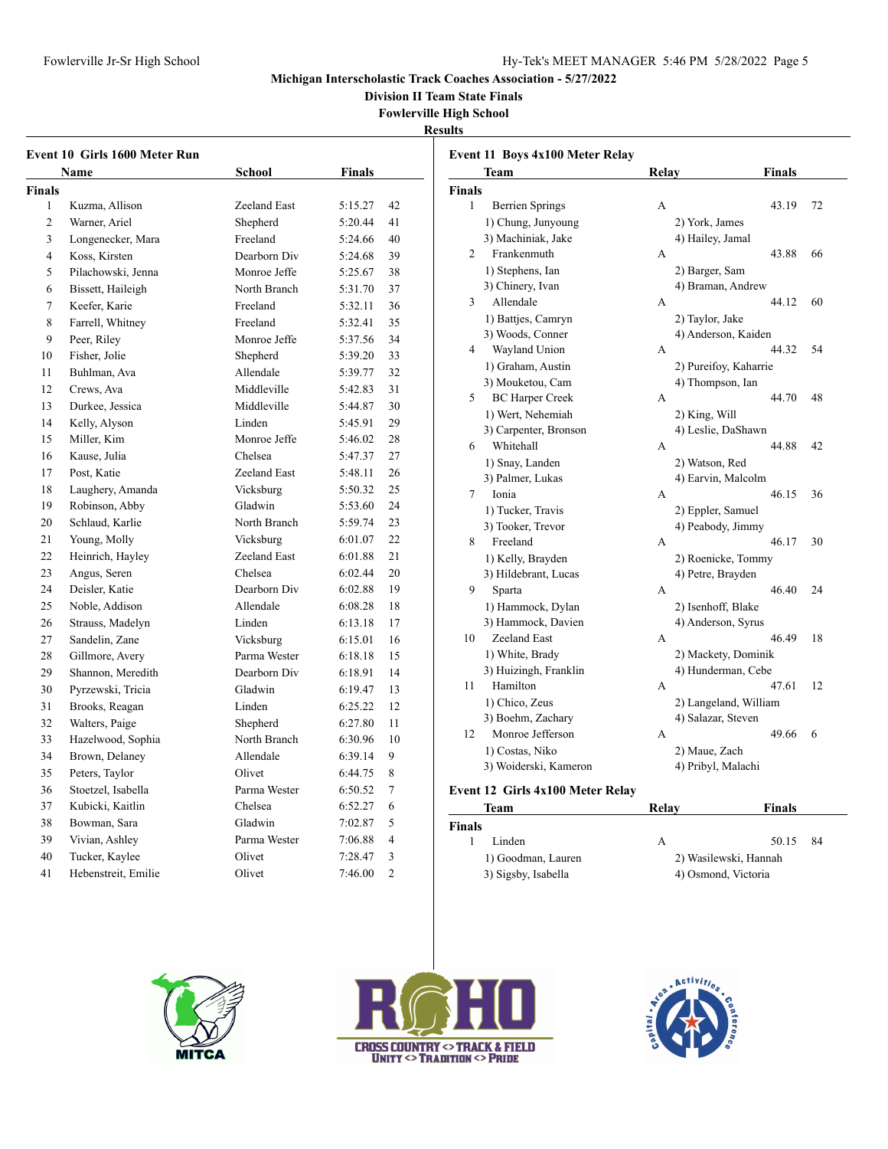**Division II Team State Finals**

**Fowlerville High School**

**Results**

| Event 10 Girls 1600 Meter Run |                     |              |         |                |  |
|-------------------------------|---------------------|--------------|---------|----------------|--|
|                               | Name                | School       | Finals  |                |  |
| Finals                        |                     |              |         |                |  |
| 1                             | Kuzma, Allison      | Zeeland East | 5:15.27 | 42             |  |
| $\overline{c}$                | Warner, Ariel       | Shepherd     | 5:20.44 | 41             |  |
| 3                             | Longenecker, Mara   | Freeland     | 5:24.66 | 40             |  |
| $\overline{4}$                | Koss, Kirsten       | Dearborn Div | 5:24.68 | 39             |  |
| 5                             | Pilachowski, Jenna  | Monroe Jeffe | 5:25.67 | 38             |  |
| 6                             | Bissett, Haileigh   | North Branch | 5:31.70 | 37             |  |
| $\overline{7}$                | Keefer, Karie       | Freeland     | 5:32.11 | 36             |  |
| 8                             | Farrell, Whitney    | Freeland     | 5:32.41 | 35             |  |
| 9                             | Peer, Riley         | Monroe Jeffe | 5:37.56 | 34             |  |
| 10                            | Fisher, Jolie       | Shepherd     | 5:39.20 | 33             |  |
| 11                            | Buhlman, Ava        | Allendale    | 5:39.77 | 32             |  |
| 12                            | Crews, Ava          | Middleville  | 5:42.83 | 31             |  |
| 13                            | Durkee, Jessica     | Middleville  | 5:44.87 | 30             |  |
| 14                            | Kelly, Alyson       | Linden       | 5:45.91 | 29             |  |
| 15                            | Miller, Kim         | Monroe Jeffe | 5:46.02 | 28             |  |
| 16                            | Kause, Julia        | Chelsea      | 5:47.37 | 27             |  |
| 17                            | Post, Katie         | Zeeland East | 5:48.11 | 26             |  |
| 18                            | Laughery, Amanda    | Vicksburg    | 5:50.32 | 25             |  |
| 19                            | Robinson, Abby      | Gladwin      | 5:53.60 | 24             |  |
| 20                            | Schlaud, Karlie     | North Branch | 5:59.74 | 23             |  |
| 21                            | Young, Molly        | Vicksburg    | 6:01.07 | 22             |  |
| 22                            | Heinrich, Hayley    | Zeeland East | 6:01.88 | 21             |  |
| 23                            | Angus, Seren        | Chelsea      | 6:02.44 | 20             |  |
| 24                            | Deisler, Katie      | Dearborn Div | 6:02.88 | 19             |  |
| 25                            | Noble, Addison      | Allendale    | 6:08.28 | 18             |  |
| 26                            | Strauss, Madelyn    | Linden       | 6:13.18 | 17             |  |
| 27                            | Sandelin, Zane      | Vicksburg    | 6:15.01 | 16             |  |
| 28                            | Gillmore, Avery     | Parma Wester | 6:18.18 | 15             |  |
| 29                            | Shannon, Meredith   | Dearborn Div | 6:18.91 | 14             |  |
| 30                            | Pyrzewski, Tricia   | Gladwin      | 6:19.47 | 13             |  |
| 31                            | Brooks, Reagan      | Linden       | 6:25.22 | 12             |  |
| 32                            | Walters, Paige      | Shepherd     | 6:27.80 | 11             |  |
| 33                            | Hazelwood, Sophia   | North Branch | 6:30.96 | 10             |  |
| 34                            | Brown, Delaney      | Allendale    | 6:39.14 | 9              |  |
| 35                            | Peters, Taylor      | Olivet       | 6:44.75 | 8              |  |
| 36                            | Stoetzel, Isabella  | Parma Wester | 6:50.52 | 7              |  |
| 37                            | Kubicki, Kaitlin    | Chelsea      | 6:52.27 | 6              |  |
| 38                            | Bowman, Sara        | Gladwin      | 7:02.87 | 5              |  |
| 39                            | Vivian, Ashley      | Parma Wester | 7:06.88 | $\overline{4}$ |  |
| 40                            | Tucker, Kaylee      | Olivet       | 7:28.47 | 3              |  |
| 41                            | Hebenstreit, Emilie | Olivet       | 7:46.00 | $\overline{c}$ |  |

|               | Event 11 Boys 4x100 Meter Relay<br>Team | <b>Relay</b> | Finals                     |    |
|---------------|-----------------------------------------|--------------|----------------------------|----|
| <b>Finals</b> |                                         |              |                            |    |
| 1             | <b>Berrien Springs</b>                  | А            | 43.19                      | 72 |
|               | 1) Chung, Junyoung                      |              | 2) York, James             |    |
|               | 3) Machiniak, Jake                      |              | 4) Hailey, Jamal           |    |
| 2             | Frankenmuth                             | A            | 43.88                      | 66 |
|               |                                         |              |                            |    |
|               | 1) Stephens, Ian<br>3) Chinery, Ivan    |              | 2) Barger, Sam             |    |
| 3             | Allendale                               |              | 4) Braman, Andrew<br>44.12 | 60 |
|               |                                         | А            |                            |    |
|               | 1) Battjes, Camryn                      |              | 2) Taylor, Jake            |    |
|               | 3) Woods, Conner                        |              | 4) Anderson, Kaiden        |    |
| 4             | Wayland Union                           | A            | 44.32                      | 54 |
|               | 1) Graham, Austin                       |              | 2) Pureifoy, Kaharrie      |    |
|               | 3) Mouketou, Cam                        |              | 4) Thompson, Ian           |    |
| 5             | <b>BC Harper Creek</b>                  | A            | 44.70                      | 48 |
|               | 1) Wert, Nehemiah                       |              | 2) King, Will              |    |
|               | 3) Carpenter, Bronson                   |              | 4) Leslie, DaShawn         |    |
| 6             | Whitehall                               | А            | 44.88                      | 42 |
|               | 1) Snay, Landen                         |              | 2) Watson, Red             |    |
|               | 3) Palmer, Lukas                        |              | 4) Earvin, Malcolm         |    |
| 7             | Ionia                                   | А            | 46.15                      | 36 |
|               | 1) Tucker, Travis                       |              | 2) Eppler, Samuel          |    |
|               | 3) Tooker, Trevor                       |              | 4) Peabody, Jimmy          |    |
| 8             | Freeland                                | А            | 46.17                      | 30 |
|               | 1) Kelly, Brayden                       |              | 2) Roenicke, Tommy         |    |
|               | 3) Hildebrant, Lucas                    |              | 4) Petre, Brayden          |    |
| 9             | Sparta                                  | А            | 46.40                      | 24 |
|               | 1) Hammock, Dylan                       |              | 2) Isenhoff, Blake         |    |
|               | 3) Hammock, Davien                      |              | 4) Anderson, Syrus         |    |
| 10            | Zeeland East                            | A            | 46.49                      | 18 |
|               | 1) White, Brady                         |              | 2) Mackety, Dominik        |    |
|               | 3) Huizingh, Franklin                   |              | 4) Hunderman, Cebe         |    |
| 11            | Hamilton                                | А            | 47.61                      | 12 |
|               | 1) Chico, Zeus                          |              | 2) Langeland, William      |    |
|               | 3) Boehm, Zachary                       |              | 4) Salazar, Steven         |    |
| 12            | Monroe Jefferson                        | А            | 49.66                      | 6  |
|               | 1) Costas, Niko                         |              | 2) Maue, Zach              |    |
|               | 3) Woiderski, Kameron                   |              | 4) Pribyl, Malachi         |    |
|               |                                         |              |                            |    |
|               | Event 12 Girls 4x100 Meter Relay        |              |                            |    |
|               | Team                                    | Relav        | Finals                     |    |

| Team                | Relav               | Finals                |
|---------------------|---------------------|-----------------------|
| <b>Finals</b>       |                     |                       |
| Linden              | А                   | - 84<br>50.15         |
| 1) Goodman, Lauren  |                     | 2) Wasilewski, Hannah |
| 3) Sigsby, Isabella | 4) Osmond, Victoria |                       |





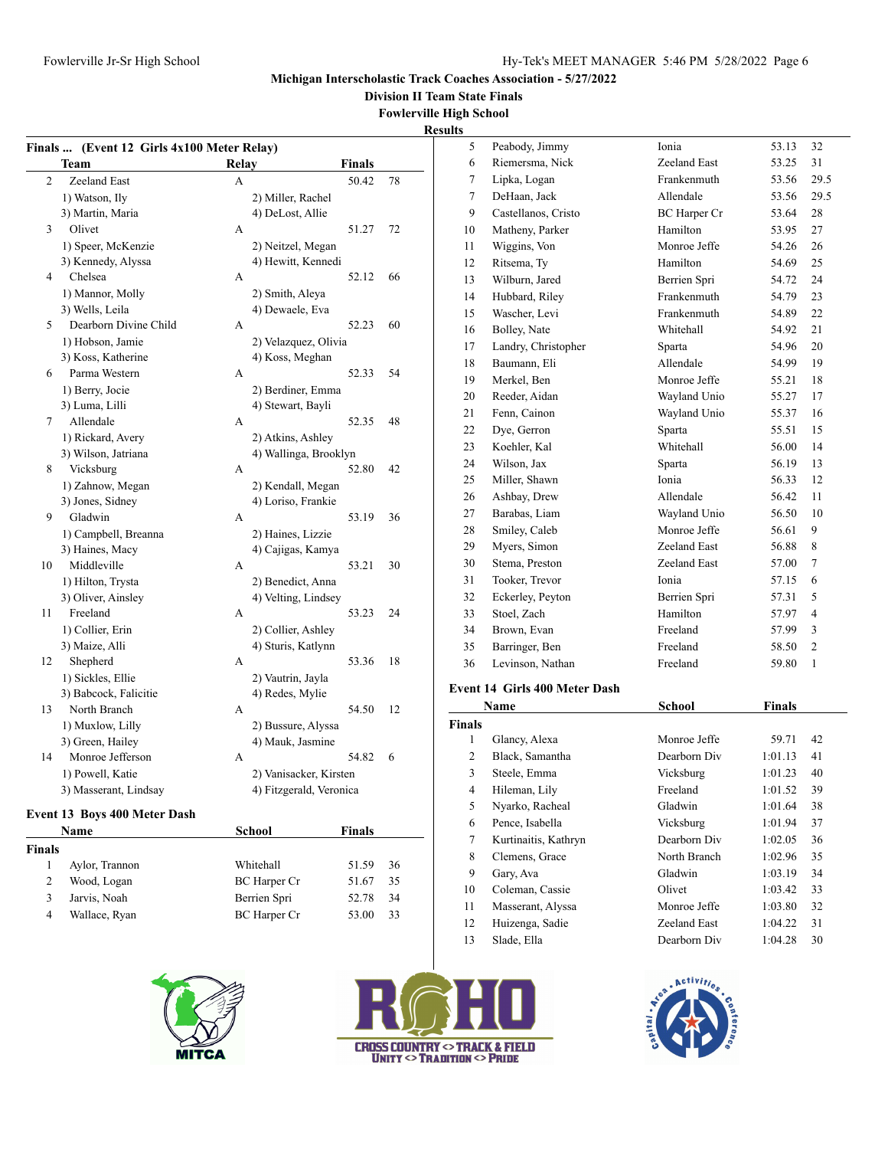**Division II Team State Finals**

#### **Fowlerville High School**

**Results**

|                | Finals  (Event 12 Girls 4x100 Meter Relay) |                         |        |    | 5              | Peabody, Jimmy                | Ionia               | 53.13         | 32             |
|----------------|--------------------------------------------|-------------------------|--------|----|----------------|-------------------------------|---------------------|---------------|----------------|
|                | Team                                       | Relay                   | Finals |    | 6              | Riemersma, Nick               | Zeeland East        | 53.25         | 31             |
| $\overline{2}$ | Zeeland East                               | A                       | 50.42  | 78 | $\tau$         | Lipka, Logan                  | Frankenmuth         | 53.56         | 29.5           |
|                | 1) Watson, Ily                             | 2) Miller, Rachel       |        |    | $\tau$         | DeHaan, Jack                  | Allendale           | 53.56         | 29.5           |
|                | 3) Martin, Maria                           | 4) DeLost, Allie        |        |    | 9              | Castellanos, Cristo           | <b>BC</b> Harper Cr | 53.64         | 28             |
| 3              | Olivet                                     | A                       | 51.27  | 72 | 10             | Matheny, Parker               | Hamilton            | 53.95         | 27             |
|                | 1) Speer, McKenzie                         | 2) Neitzel, Megan       |        |    | 11             | Wiggins, Von                  | Monroe Jeffe        | 54.26         | 26             |
|                | 3) Kennedy, Alyssa                         | 4) Hewitt, Kennedi      |        |    | 12             | Ritsema, Ty                   | Hamilton            | 54.69         | 25             |
| 4              | Chelsea                                    | A                       | 52.12  | 66 | 13             | Wilburn, Jared                | Berrien Spri        | 54.72         | 24             |
|                | 1) Mannor, Molly                           | 2) Smith, Aleya         |        |    | 14             | Hubbard, Riley                | Frankenmuth         | 54.79         | 23             |
|                | 3) Wells, Leila                            | 4) Dewaele, Eva         |        |    | 15             | Wascher, Levi                 | Frankenmuth         | 54.89         | 22             |
| 5              | Dearborn Divine Child                      | A                       | 52.23  | 60 | 16             | Bolley, Nate                  | Whitehall           | 54.92         | 21             |
|                | 1) Hobson, Jamie                           | 2) Velazquez, Olivia    |        |    | 17             | Landry, Christopher           | Sparta              | 54.96         | 20             |
|                | 3) Koss, Katherine                         | 4) Koss, Meghan         |        |    | 18             | Baumann, Eli                  | Allendale           | 54.99         | 19             |
| 6              | Parma Western                              | А                       | 52.33  | 54 | 19             | Merkel, Ben                   | Monroe Jeffe        | 55.21         | 18             |
|                | 1) Berry, Jocie                            | 2) Berdiner, Emma       |        |    | 20             | Reeder, Aidan                 | Wayland Unio        | 55.27         | 17             |
|                | 3) Luma, Lilli                             | 4) Stewart, Bayli       |        |    | 21             | Fenn, Cainon                  | Wayland Unio        | 55.37         | 16             |
| $\tau$         | Allendale                                  | A                       | 52.35  | 48 | 22             | Dye, Gerron                   | Sparta              | 55.51         | 15             |
|                | 1) Rickard, Avery                          | 2) Atkins, Ashley       |        |    | 23             | Koehler, Kal                  | Whitehall           | 56.00         | 14             |
|                | 3) Wilson, Jatriana                        | 4) Wallinga, Brooklyn   |        |    | 24             | Wilson, Jax                   | Sparta              | 56.19         | 13             |
| 8              | Vicksburg                                  | A                       | 52.80  | 42 | 25             | Miller, Shawn                 | Ionia               | 56.33         | 12             |
|                | 1) Zahnow, Megan                           | 2) Kendall, Megan       |        |    | 26             | Ashbay, Drew                  | Allendale           | 56.42         | 11             |
|                | 3) Jones, Sidney                           | 4) Loriso, Frankie      |        |    | 27             | Barabas, Liam                 | Wayland Unio        | 56.50         | 10             |
| 9              | Gladwin                                    | A                       | 53.19  | 36 | 28             | Smiley, Caleb                 | Monroe Jeffe        | 56.61         | 9              |
|                | 1) Campbell, Breanna                       | 2) Haines, Lizzie       |        |    | 29             |                               | Zeeland East        | 56.88         | 8              |
|                | 3) Haines, Macy                            | 4) Cajigas, Kamya       |        |    | 30             | Myers, Simon                  | Zeeland East        | 57.00         | $\tau$         |
| 10             | Middleville                                | A                       | 53.21  | 30 |                | Stema, Preston                |                     |               |                |
|                | 1) Hilton, Trysta                          | 2) Benedict, Anna       |        |    | 31             | Tooker, Trevor                | Ionia               | 57.15         | 6              |
|                | 3) Oliver, Ainsley                         | 4) Velting, Lindsey     |        |    | 32             | Eckerley, Peyton              | Berrien Spri        | 57.31         | 5              |
| 11             | Freeland                                   | А                       | 53.23  | 24 | 33             | Stoel, Zach                   | Hamilton            | 57.97         | $\overline{4}$ |
|                | 1) Collier, Erin                           | 2) Collier, Ashley      |        |    | 34             | Brown, Evan                   | Freeland            | 57.99         | 3              |
|                | 3) Maize, Alli                             | 4) Sturis, Katlynn      |        |    | 35             | Barringer, Ben                | Freeland            | 58.50         | $\overline{2}$ |
| 12             | Shepherd                                   | A                       | 53.36  | 18 | 36             | Levinson, Nathan              | Freeland            | 59.80         | $\mathbf{1}$   |
|                | 1) Sickles, Ellie                          | 2) Vautrin, Jayla       |        |    |                | Event 14 Girls 400 Meter Dash |                     |               |                |
|                | 3) Babcock, Falicitie                      | 4) Redes, Mylie         |        |    |                | Name                          | School              | <b>Finals</b> |                |
| 13             | North Branch                               | А                       | 54.50  | 12 | Finals         |                               |                     |               |                |
|                | 1) Muxlow, Lilly                           | 2) Bussure, Alyssa      |        |    | $\mathbf{1}$   | Glancy, Alexa                 | Monroe Jeffe        | 59.71         | 42             |
|                | 3) Green, Hailey<br>Monroe Jefferson       | 4) Mauk, Jasmine        | 54.82  | 6  | $\mathfrak{2}$ | Black, Samantha               | Dearborn Div        | 1:01.13       | 41             |
| 14             |                                            | A                       |        |    | 3              | Steele, Emma                  | Vicksburg           | 1:01.23       | 40             |
|                | 1) Powell, Katie                           | 2) Vanisacker, Kirsten  |        |    |                |                               | Freeland            |               |                |
|                | 3) Masserant, Lindsay                      | 4) Fitzgerald, Veronica |        |    | $\overline{4}$ | Hileman, Lily                 |                     | 1:01.52       | 39             |

# **Event 13 Boys 400 Meter Dash**

|        | Name           | School              | <b>Finals</b> |     |
|--------|----------------|---------------------|---------------|-----|
| Finals |                |                     |               |     |
|        | Aylor, Trannon | Whitehall           | 51.59         | -36 |
|        | Wood, Logan    | <b>BC</b> Harper Cr | 51.67         | 35  |
|        | Jarvis, Noah   | Berrien Spri        | 52.78         | 34  |
| 4      | Wallace, Ryan  | BC Harper Cr        | 53.00         | 33  |
|        |                |                     |               |     |







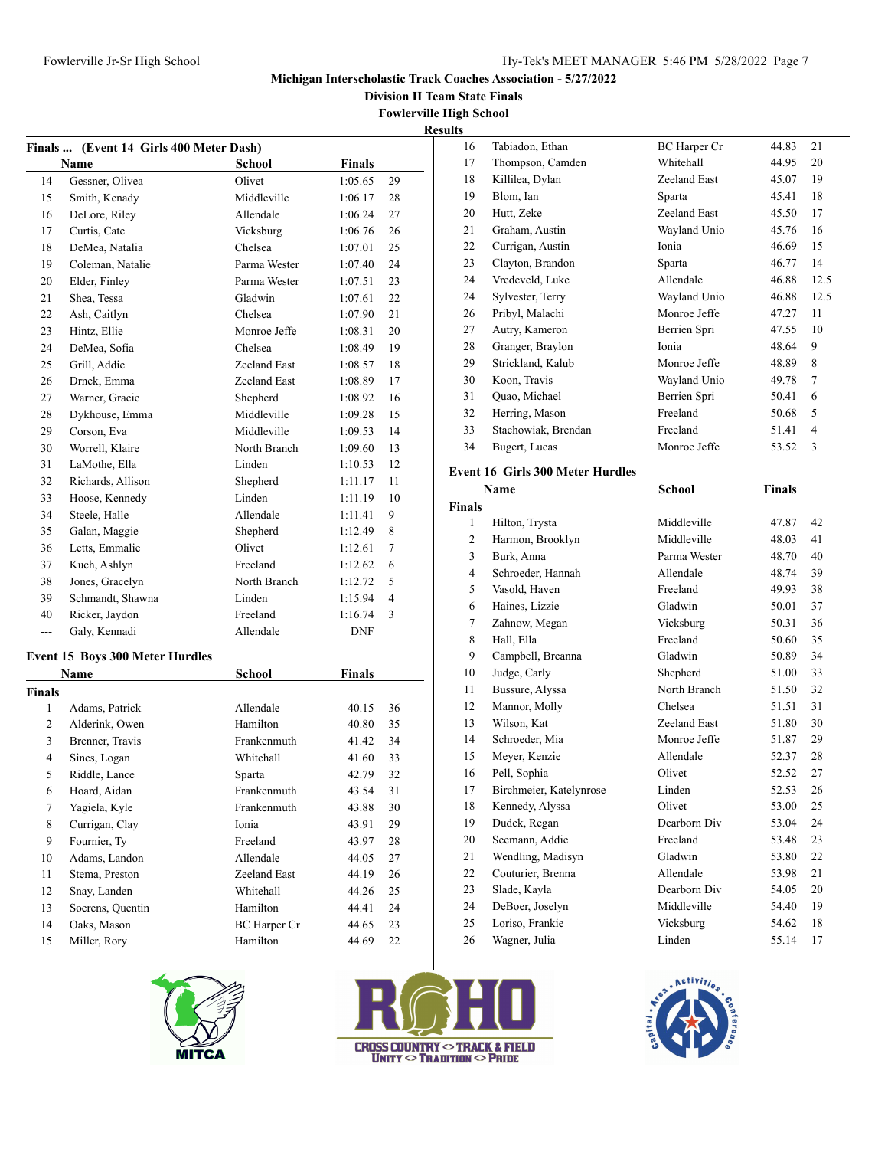**Division II Team State Finals**

**Fowlerville High School**

**Results**

| Finals           | (Event 14 Girls 400 Meter Dash)        |                          |                |                |
|------------------|----------------------------------------|--------------------------|----------------|----------------|
|                  | Name                                   | <b>School</b>            | <b>Finals</b>  |                |
| 14               | Gessner, Olivea                        | Olivet                   | 1:05.65        | 29             |
| 15               | Smith, Kenady                          | Middleville              | 1:06.17        | 28             |
| 16               | DeLore, Riley                          | Allendale                | 1:06.24        | 27             |
| 17               | Curtis, Cate                           | Vicksburg                | 1:06.76        | 26             |
| 18               | DeMea, Natalia                         | Chelsea                  | 1:07.01        | 25             |
| 19               | Coleman, Natalie                       | Parma Wester             | 1:07.40        | 24             |
| 20               | Elder, Finley                          | Parma Wester             | 1:07.51        | 23             |
| 21               | Shea, Tessa                            | Gladwin                  | 1:07.61        | 22             |
| 22               | Ash, Caitlyn                           | Chelsea                  | 1:07.90        | 21             |
| 23               | Hintz, Ellie                           | Monroe Jeffe             | 1:08.31        | 20             |
| 24               | DeMea, Sofia                           | Chelsea                  | 1:08.49        | 19             |
| 25               | Grill, Addie                           | Zeeland East             | 1:08.57        | 18             |
| 26               | Drnek, Emma                            | Zeeland East             | 1:08.89        | 17             |
| 27               | Warner, Gracie                         | Shepherd                 | 1:08.92        | 16             |
| 28               | Dykhouse, Emma                         | Middleville              | 1:09.28        | 15             |
| 29               | Corson, Eva                            | Middleville              | 1:09.53        | 14             |
| 30               | Worrell, Klaire                        | North Branch             | 1:09.60        | 13             |
| 31               | LaMothe, Ella                          | Linden                   | 1:10.53        | 12             |
| 32               | Richards, Allison                      | Shepherd                 | 1:11.17        | 11             |
| 33               | Hoose, Kennedy                         | Linden                   | 1:11.19        | 10             |
| 34               | Steele, Halle                          | Allendale                | 1:11.41        | 9              |
| 35               | Galan, Maggie                          | Shepherd                 | 1:12.49        | 8              |
| 36               | Letts, Emmalie                         | Olivet                   | 1:12.61        | 7              |
| 37               | Kuch, Ashlyn                           | Freeland                 | 1:12.62        | 6              |
| 38               | Jones, Gracelyn                        | North Branch             | 1:12.72        | 5              |
| 39               | Schmandt, Shawna                       | Linden                   | 1:15.94        | $\overline{4}$ |
| 40               | Ricker, Jaydon                         | Freeland                 | 1:16.74        | 3              |
| $---$            | Galy, Kennadi                          | Allendale                | DNF            |                |
|                  |                                        |                          |                |                |
|                  | <b>Event 15 Boys 300 Meter Hurdles</b> |                          |                |                |
| <b>Finals</b>    | Name                                   | School                   | Finals         |                |
| 1                | Adams, Patrick                         | Allendale                | 40.15          | 36             |
| 2                | Alderink, Owen                         | Hamilton                 | 40.80          | 35             |
| 3                | Brenner, Travis                        | Frankenmuth              | 41.42          | 34             |
| $\overline{4}$   | Sines, Logan                           | Whitehall                | 41.60          | 33             |
| 5                | Riddle, Lance                          | Sparta                   | 42.79          | 32             |
| 6                | Hoard, Aidan                           | Frankenmuth              | 43.54          | 31             |
| $\boldsymbol{7}$ | Yagiela, Kyle                          | Frankenmuth              | 43.88          | 30             |
| 8                | Currigan, Clay                         | Ionia                    | 43.91          |                |
| 9                | Fournier, Ty                           | Freeland                 |                | 29             |
|                  |                                        |                          | 43.97          | 28             |
| 10               | Adams, Landon                          | Allendale                | 44.05          | 27             |
| 11               | Stema, Preston                         | Zeeland East             | 44.19          | 26             |
|                  | Snay, Landen                           | Whitehall                | 44.26          | 25             |
| 12               |                                        |                          |                |                |
| 13               | Soerens, Quentin                       | Hamilton                 | 44.41          | 24             |
| 14<br>15         | Oaks, Mason<br>Miller, Rory            | BC Harper Cr<br>Hamilton | 44.65<br>44.69 | 23<br>22       |



| <b>CROSS COUNTRY <math>\circ</math> TRACK &amp; FIELD</b><br><b>UNITY <math>\circ</math> TRADITION <math>\circ</math> Pride</b> |
|---------------------------------------------------------------------------------------------------------------------------------|

| 16 | Tabiadon, Ethan     | <b>BC</b> Harper Cr | 44.83 | 21   |
|----|---------------------|---------------------|-------|------|
| 17 | Thompson, Camden    | Whitehall           | 44.95 | 20   |
| 18 | Killilea, Dylan     | Zeeland East        | 45.07 | 19   |
| 19 | Blom, Ian           | Sparta              | 45.41 | 18   |
| 20 | Hutt, Zeke          | Zeeland East        | 45.50 | 17   |
| 21 | Graham, Austin      | Wayland Unio        | 45.76 | 16   |
| 22 | Currigan, Austin    | Ionia               | 46.69 | 15   |
| 23 | Clayton, Brandon    | Sparta              | 46.77 | 14   |
| 24 | Vredeveld, Luke     | Allendale           | 46.88 | 12.5 |
| 24 | Sylvester, Terry    | Wayland Unio        | 46.88 | 12.5 |
| 26 | Pribyl, Malachi     | Monroe Jeffe        | 47.27 | 11   |
| 27 | Autry, Kameron      | Berrien Spri        | 47.55 | 10   |
| 28 | Granger, Braylon    | Ionia               | 48.64 | 9    |
| 29 | Strickland, Kalub   | Monroe Jeffe        | 48.89 | 8    |
| 30 | Koon, Travis        | Wayland Unio        | 49.78 | 7    |
| 31 | Quao, Michael       | Berrien Spri        | 50.41 | 6    |
| 32 | Herring, Mason      | Freeland            | 50.68 | 5    |
| 33 | Stachowiak, Brendan | Freeland            | 51.41 | 4    |
| 34 | Bugert, Lucas       | Monroe Jeffe        | 53.52 | 3    |

# **Event 16 Girls 300 Meter Hurdles**

|               | Name                    | <b>School</b> | <b>Finals</b> |    |
|---------------|-------------------------|---------------|---------------|----|
| <b>Finals</b> |                         |               |               |    |
| 1             | Hilton, Trysta          | Middleville   | 47.87         | 42 |
| 2             | Harmon, Brooklyn        | Middleville   | 48.03         | 41 |
| 3             | Burk, Anna              | Parma Wester  | 48.70         | 40 |
| 4             | Schroeder, Hannah       | Allendale     | 48.74         | 39 |
| 5             | Vasold, Haven           | Freeland      | 49.93         | 38 |
| 6             | Haines, Lizzie          | Gladwin       | 50.01         | 37 |
| 7             | Zahnow, Megan           | Vicksburg     | 50.31         | 36 |
| 8             | Hall, Ella              | Freeland      | 50.60         | 35 |
| 9             | Campbell, Breanna       | Gladwin       | 50.89         | 34 |
| 10            | Judge, Carly            | Shepherd      | 51.00         | 33 |
| 11            | Bussure, Alyssa         | North Branch  | 51.50         | 32 |
| 12            | Mannor, Molly           | Chelsea       | 51.51         | 31 |
| 13            | Wilson, Kat             | Zeeland East  | 51.80         | 30 |
| 14            | Schroeder, Mia          | Monroe Jeffe  | 51.87         | 29 |
| 15            | Meyer, Kenzie           | Allendale     | 52.37         | 28 |
| 16            | Pell, Sophia            | Olivet        | 52.52         | 27 |
| 17            | Birchmeier, Katelynrose | Linden        | 52.53         | 26 |
| 18            | Kennedy, Alyssa         | Olivet        | 53.00         | 25 |
| 19            | Dudek, Regan            | Dearborn Div  | 53.04         | 24 |
| 20            | Seemann, Addie          | Freeland      | 53.48         | 23 |
| 21            | Wendling, Madisyn       | Gladwin       | 53.80         | 22 |
| 22            | Couturier, Brenna       | Allendale     | 53.98         | 21 |
| 23            | Slade, Kayla            | Dearborn Div  | 54.05         | 20 |
| 24            | DeBoer, Joselyn         | Middleville   | 54.40         | 19 |
| 25            | Loriso, Frankie         | Vicksburg     | 54.62         | 18 |
| 26            | Wagner, Julia           | Linden        | 55.14         | 17 |
|               |                         |               |               |    |

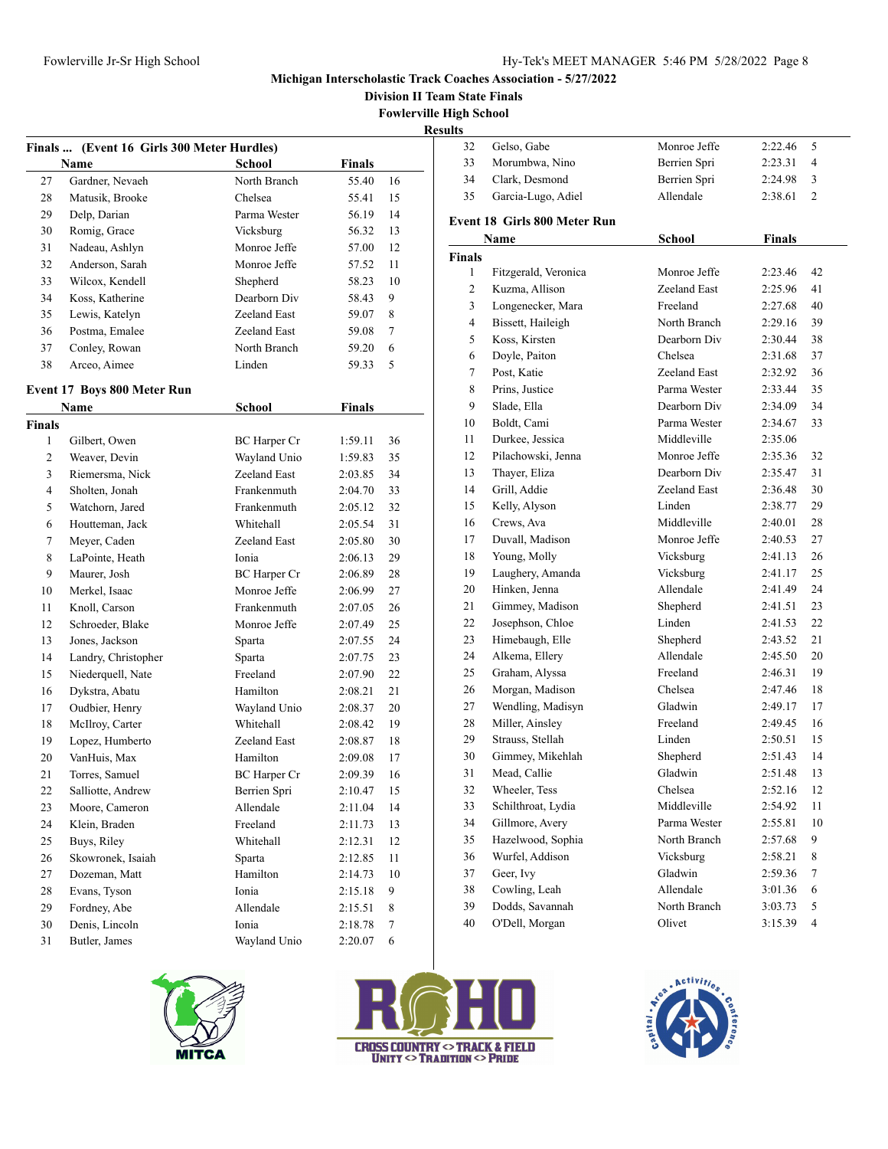Gelso, Gabe Monroe Jeffe 2:22.46 5

### **Michigan Interscholastic Track Coaches Association - 5/27/2022**

**Division II Team State Finals**

**Fowlerville High School**

|                    |                                            |               |               |    | <b>Results</b> |
|--------------------|--------------------------------------------|---------------|---------------|----|----------------|
|                    | Finals  (Event 16 Girls 300 Meter Hurdles) |               |               |    |                |
|                    | Name                                       | School        | <b>Finals</b> |    | 3              |
| 27                 | Gardner, Nevaeh                            | North Branch  | 55.40         | 16 | 3<br>3         |
| 28                 | Matusik, Brooke                            | Chelsea       | 55.41         | 15 |                |
| 29                 | Delp, Darian                               | Parma Wester  | 56.19         | 14 | Eν             |
| 30                 | Romig, Grace                               | Vicksburg     | 56.32         | 13 |                |
| 31                 | Nadeau, Ashlyn                             | Monroe Jeffe  | 57.00         | 12 | Fin            |
| 32                 | Anderson, Sarah                            | Monroe Jeffe  | 57.52         | 11 |                |
| 33                 | Wilcox, Kendell                            | Shepherd      | 58.23         | 10 |                |
| 34                 | Koss, Katherine                            | Dearborn Div  | 58.43         | 9  |                |
| 35                 | Lewis, Katelyn                             | Zeeland East  | 59.07         | 8  |                |
| 36                 | Postma, Emalee                             | Zeeland East  | 59.08         | 7  |                |
| 37                 | Conley, Rowan                              | North Branch  | 59.20         | 6  |                |
| 38                 | Arceo, Aimee                               | Linden        | 59.33         | 5  |                |
|                    | Event 17 Boys 800 Meter Run                |               |               |    |                |
|                    | <b>Name</b>                                | <b>School</b> | <b>Finals</b> |    |                |
| <b>Finals</b><br>1 | Gilbert, Owen                              | BC Harper Cr  | 1:59.11       | 36 |                |
|                    |                                            |               |               |    |                |
| $\overline{2}$     | Weaver, Devin                              | Wayland Unio  | 1:59.83       | 35 |                |
| 3                  | Riemersma, Nick                            | Zeeland East  | 2:03.85       | 34 |                |
| $\overline{4}$     | Sholten, Jonah                             | Frankenmuth   | 2:04.70       | 33 |                |
| 5                  | Watchorn, Jared                            | Frankenmuth   | 2:05.12       | 32 |                |
| 6                  | Houtteman, Jack                            | Whitehall     | 2:05.54       | 31 |                |
| 7                  | Meyer, Caden                               | Zeeland East  | 2:05.80       | 30 |                |
| 8                  | LaPointe, Heath                            | Ionia         | 2:06.13       | 29 |                |
| 9                  | Maurer, Josh                               | BC Harper Cr  | 2:06.89       | 28 |                |
| 10                 | Merkel, Isaac                              | Monroe Jeffe  | 2:06.99       | 27 |                |
| 11                 | Knoll, Carson                              | Frankenmuth   | 2:07.05       | 26 |                |
| 12                 | Schroeder, Blake                           | Monroe Jeffe  | 2:07.49       | 25 |                |
| 13                 | Jones, Jackson                             | Sparta        | 2:07.55       | 24 |                |
| 14                 | Landry, Christopher                        | Sparta        | 2:07.75       | 23 |                |
| 15                 | Niederquell, Nate                          | Freeland      | 2:07.90       | 22 |                |
| 16                 | Dykstra, Abatu                             | Hamilton      | 2:08.21       | 21 |                |
| 17                 | Oudbier, Henry                             | Wayland Unio  | 2:08.37       | 20 |                |
| 18                 | McIlroy, Carter                            | Whitehall     | 2:08.42       | 19 |                |
| 19                 | Lopez, Humberto                            | Zeeland East  | 2:08.87       | 18 |                |
| 20                 | VanHuis, Max                               | Hamilton      | 2:09.08       | 17 |                |
| 21                 | Torres, Samuel                             | BC Harper Cr  | 2:09.39       | 16 |                |
| 22                 | Salliotte, Andrew                          | Berrien Spri  | 2:10.47       | 15 |                |
| 23                 | Moore, Cameron                             | Allendale     | 2:11.04       | 14 |                |
| 24                 | Klein, Braden                              | Freeland      | 2:11.73       | 13 |                |
| 25                 | Buys, Riley                                | Whitehall     | 2:12.31       | 12 |                |
| 26                 | Skowronek, Isaiah                          | Sparta        | 2:12.85       | 11 |                |
| 27                 | Dozeman, Matt                              | Hamilton      | 2:14.73       | 10 |                |
| 28                 | Evans, Tyson                               | Ionia         | 2:15.18       | 9  |                |
| 29                 | Fordney, Abe                               | Allendale     | 2:15.51       | 8  | 3<br>3         |
| $30\,$             | Denis, Lincoln                             | Ionia         | 2:18.78       | 7  |                |
| 31                 | Butler, James                              | Wayland Unio  | 2:20.07       | 6  |                |
|                    |                                            |               |               |    |                |

| 33            | Morumbwa, Nino                      | Berrien Spri | 2:23.31            | 4  |
|---------------|-------------------------------------|--------------|--------------------|----|
| 34            | Clark, Desmond                      | Berrien Spri | 2:24.98            | 3  |
| 35            | Garcia-Lugo, Adiel                  | Allendale    | 2:38.61            | 2  |
|               | <b>Event 18 Girls 800 Meter Run</b> |              |                    |    |
|               | Name                                | School       | <b>Finals</b>      |    |
| <b>Finals</b> |                                     |              |                    |    |
| 1             | Fitzgerald, Veronica                | Monroe Jeffe | 2:23.46            | 42 |
| 2             | Kuzma, Allison                      | Zeeland East | 2:25.96            | 41 |
| 3             | Longenecker, Mara                   | Freeland     | 2:27.68            | 40 |
| 4             | Bissett, Haileigh                   | North Branch | 2:29.16            | 39 |
| 5             | Koss, Kirsten                       | Dearborn Div | 2:30.44            | 38 |
| 6             | Doyle, Paiton                       | Chelsea      | 2:31.68            | 37 |
| 7             | Post, Katie                         | Zeeland East | 2:32.92            | 36 |
| 8             | Prins, Justice                      | Parma Wester | 2:33.44            | 35 |
|               |                                     | Dearborn Div |                    | 34 |
| 9             | Slade, Ella<br>Boldt, Cami          | Parma Wester | 2:34.09            |    |
| 10            | Durkee, Jessica                     | Middleville  | 2:34.67<br>2:35.06 | 33 |
| 11            |                                     |              |                    |    |
| 12            | Pilachowski, Jenna                  | Monroe Jeffe | 2:35.36            | 32 |
| 13            | Thayer, Eliza<br>Grill, Addie       | Dearborn Div | 2:35.47            | 31 |
| 14            |                                     | Zeeland East | 2:36.48            | 30 |
| 15            | Kelly, Alyson                       | Linden       | 2:38.77            | 29 |
| 16            | Crews, Ava                          | Middleville  | 2:40.01            | 28 |
| 17            | Duvall, Madison                     | Monroe Jeffe | 2:40.53            | 27 |
| 18            | Young, Molly                        | Vicksburg    | 2:41.13            | 26 |
| 19            | Laughery, Amanda                    | Vicksburg    | 2:41.17            | 25 |
| 20            | Hinken, Jenna                       | Allendale    | 2:41.49            | 24 |
| 21            | Gimmey, Madison                     | Shepherd     | 2:41.51            | 23 |
| 22            | Josephson, Chloe                    | Linden       | 2:41.53            | 22 |
| 23            | Himebaugh, Elle                     | Shepherd     | 2:43.52            | 21 |
| 24            | Alkema, Ellery                      | Allendale    | 2:45.50            | 20 |
| 25            | Graham, Alyssa                      | Freeland     | 2:46.31            | 19 |
| 26            | Morgan, Madison                     | Chelsea      | 2:47.46            | 18 |
| 27            | Wendling, Madisyn                   | Gladwin      | 2:49.17            | 17 |
| 28            | Miller, Ainsley                     | Freeland     | 2:49.45            | 16 |
| 29            | Strauss, Stellah                    | Linden       | 2:50.51            | 15 |
| 30            | Gimmey, Mikehlah                    | Shepherd     | 2:51.43            | 14 |
| 31            | Mead, Callie                        | Gladwin      | 2:51.48            | 13 |
| 32            | Wheeler, Tess                       | Chelsea      | 2:52.16            | 12 |
| 33            | Schilthroat, Lydia                  | Middleville  | 2:54.92            | 11 |
| 34            | Gillmore, Avery                     | Parma Wester | 2:55.81            | 10 |
| 35            | Hazelwood, Sophia                   | North Branch | 2:57.68            | 9  |
| 36            | Wurfel, Addison                     | Vicksburg    | 2:58.21            | 8  |
| 37            | Geer, Ivy                           | Gladwin      | 2:59.36            | 7  |
| 38            | Cowling, Leah                       | Allendale    | 3:01.36            | 6  |
| 39            | Dodds, Savannah                     | North Branch | 3:03.73            | 5  |
| 40            | O'Dell, Morgan                      | Olivet       | 3:15.39            | 4  |





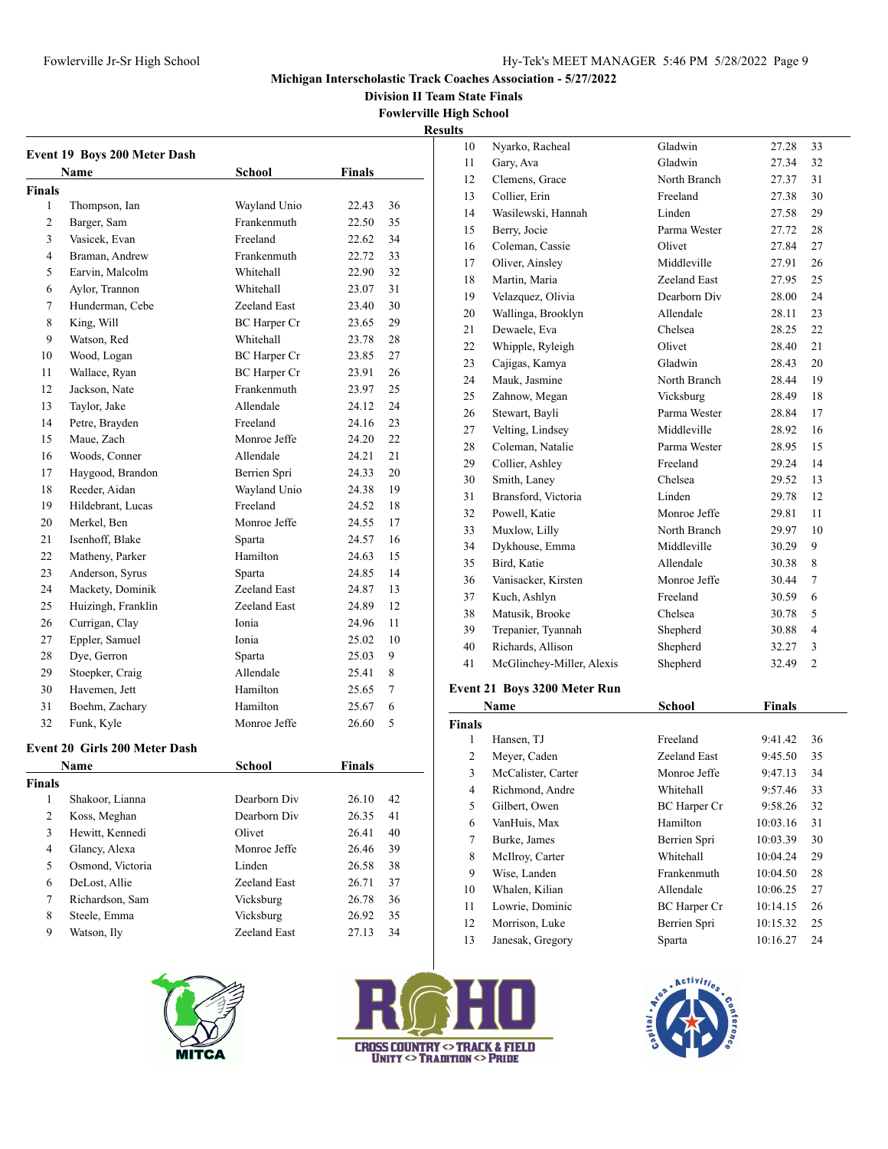Nyarko, Racheal Gladwin 27.28 33 Gary, Ava Gladwin 27.34 32 Clemens, Grace North Branch 27.37 31 Collier, Erin Freeland 27.38 30 Wasilewski, Hannah Linden 27.58 29 Berry, Jocie Parma Wester 27.72 28 16 Coleman, Cassie Olivet 27.84 27

#### **Michigan Interscholastic Track Coaches Association - 5/27/2022**

**Division II Team State Finals**

**Fowlerville High School Results**

|                | <b>Event 19 Boys 200 Meter Dash</b>  |                     |               |    |
|----------------|--------------------------------------|---------------------|---------------|----|
|                | Name                                 | School              | Finals        |    |
| <b>Finals</b>  |                                      |                     |               |    |
| 1              | Thompson, Ian                        | Wayland Unio        | 22.43         | 36 |
| $\overline{c}$ | Barger, Sam                          | Frankenmuth         | 22.50         | 35 |
| 3              | Vasicek, Evan                        | Freeland            | 22.62         | 34 |
| $\overline{4}$ | Braman, Andrew                       | Frankenmuth         | 22.72         | 33 |
| 5              | Earvin, Malcolm                      | Whitehall           | 22.90         | 32 |
| 6              | Aylor, Trannon                       | Whitehall           | 23.07         | 31 |
| 7              | Hunderman, Cebe                      | Zeeland East        | 23.40         | 30 |
| 8              | King, Will                           | <b>BC</b> Harper Cr | 23.65         | 29 |
| 9              | Watson, Red                          | Whitehall           | 23.78         | 28 |
| 10             | Wood, Logan                          | <b>BC</b> Harper Cr | 23.85         | 27 |
| 11             | Wallace, Ryan                        | <b>BC</b> Harper Cr | 23.91         | 26 |
| 12             | Jackson, Nate                        | Frankenmuth         | 23.97         | 25 |
| 13             | Taylor, Jake                         | Allendale           | 24.12         | 24 |
| 14             | Petre, Brayden                       | Freeland            | 24.16         | 23 |
| 15             | Maue, Zach                           | Monroe Jeffe        | 24.20         | 22 |
| 16             | Woods, Conner                        | Allendale           | 24.21         | 21 |
| 17             | Haygood, Brandon                     | Berrien Spri        | 24.33         | 20 |
| 18             | Reeder, Aidan                        | Wayland Unio        | 24.38         | 19 |
| 19             | Hildebrant, Lucas                    | Freeland            | 24.52         | 18 |
| 20             | Merkel, Ben                          | Monroe Jeffe        | 24.55         | 17 |
| 21             | Isenhoff, Blake                      | Sparta              | 24.57         | 16 |
| 22             | Matheny, Parker                      | Hamilton            | 24.63         | 15 |
| 23             | Anderson, Syrus                      | Sparta              | 24.85         | 14 |
| 24             | Mackety, Dominik                     | Zeeland East        | 24.87         | 13 |
| 25             | Huizingh, Franklin                   | Zeeland East        | 24.89         | 12 |
| 26             | Currigan, Clay                       | Ionia               | 24.96         | 11 |
| 27             | Eppler, Samuel                       | Ionia               | 25.02         | 10 |
| 28             | Dye, Gerron                          | Sparta              | 25.03         | 9  |
| 29             | Stoepker, Craig                      | Allendale           | 25.41         | 8  |
| 30             | Havemen, Jett                        | Hamilton            | 25.65         | 7  |
| 31             | Boehm, Zachary                       | Hamilton            | 25.67         | 6  |
| 32             | Funk, Kyle                           | Monroe Jeffe        | 26.60         | 5  |
|                | <b>Event 20 Girls 200 Meter Dash</b> |                     |               |    |
|                | Name                                 | School              | <b>Finals</b> |    |
| Finals         |                                      |                     |               |    |
| $\mathbf{1}$   | Shakoor, Lianna                      | Dearborn Div        | 26.10         | 42 |
| $\overline{c}$ | Koss, Meghan                         | Dearborn Div        | 26.35         | 41 |
| 3              | Hewitt, Kennedi                      | Olivet              | 26.41         | 40 |
| $\overline{4}$ | Glancy, Alexa                        | Monroe Jeffe        | 26.46         | 39 |
| 5              | Osmond, Victoria                     | Linden              | 26.58         | 38 |
| 6              | DeLost, Allie                        | Zeeland East        | 26.71         | 37 |
| $\tau$         | Richardson, Sam                      | Vicksburg           | 26.78         | 36 |
| $\,8\,$        | Steele, Emma                         | Vicksburg           | 26.92         | 35 |
| 9              | Watson, Ily                          | Zeeland East        | 27.13         | 34 |
|                |                                      |                     |               |    |
|                |                                      |                     |               |    |



| 17             | Oliver, Ainsley                     | Middleville         | 27.91         | 26             |
|----------------|-------------------------------------|---------------------|---------------|----------------|
| 18             | Martin, Maria                       | Zeeland East        | 27.95         | 25             |
| 19             | Velazquez, Olivia                   | Dearborn Div        | 28.00         | 24             |
| 20             | Wallinga, Brooklyn                  | Allendale           | 28.11         | 23             |
| 21             | Dewaele, Eva                        | Chelsea             | 28.25         | 22             |
| 22             | Whipple, Ryleigh                    | Olivet              | 28.40         | 21             |
| 23             | Cajigas, Kamya                      | Gladwin             | 28.43         | 20             |
| 24             | Mauk, Jasmine                       | North Branch        | 28.44         | 19             |
| 25             | Zahnow, Megan                       | Vicksburg           | 28.49         | 18             |
| 26             | Stewart, Bayli                      | Parma Wester        | 28.84         | 17             |
| 27             | Velting, Lindsey                    | Middleville         | 28.92         | 16             |
| 28             | Coleman, Natalie                    | Parma Wester        | 28.95         | 15             |
| 29             | Collier, Ashley                     | Freeland            | 29.24         | 14             |
| 30             | Smith, Laney                        | Chelsea             | 29.52         | 13             |
| 31             | Bransford, Victoria                 | Linden              | 29.78         | 12             |
| 32             | Powell, Katie                       | Monroe Jeffe        | 29.81         | 11             |
| 33             | Muxlow, Lilly                       | North Branch        | 29.97         | 10             |
| 34             | Dykhouse, Emma                      | Middleville         | 30.29         | 9              |
| 35             | Bird, Katie                         | Allendale           | 30.38         | 8              |
| 36             | Vanisacker, Kirsten                 | Monroe Jeffe        | 30.44         | $\tau$         |
| 37             | Kuch, Ashlyn                        | Freeland            | 30.59         | 6              |
| 38             | Matusik, Brooke                     | Chelsea             | 30.78         | 5              |
| 39             | Trepanier, Tyannah                  | Shepherd            | 30.88         | $\overline{4}$ |
| 40             | Richards, Allison                   | Shepherd            | 32.27         | 3              |
| 41             | McGlinchey-Miller, Alexis           | Shepherd            | 32.49         | $\overline{2}$ |
|                | <b>Event 21 Boys 3200 Meter Run</b> |                     |               |                |
|                | Name                                | <b>School</b>       | <b>Finals</b> |                |
| <b>Finals</b>  |                                     |                     |               |                |
| 1              | Hansen, TJ                          | Freeland            | 9:41.42       | 36             |
| $\overline{c}$ | Meyer, Caden                        | Zeeland East        | 9:45.50       | 35             |
| 3              | McCalister, Carter                  | Monroe Jeffe        | 9:47.13       | 34             |
| 4              | Richmond, Andre                     | Whitehall           | 9:57.46       | 33             |
| 5              | Gilbert, Owen                       | <b>BC</b> Harper Cr | 9:58.26       | 32             |
| 6              | VanHuis, Max                        | Hamilton            | 10:03.16      | 31             |
| 7              | Burke, James                        | Berrien Spri        | 10:03.39      | 30             |

| inals          |                    |                     |          |    |
|----------------|--------------------|---------------------|----------|----|
| 1              | Hansen, TJ         | Freeland            | 9:41.42  | 36 |
| 2              | Meyer, Caden       | Zeeland East        | 9:45.50  | 35 |
| 3              | McCalister, Carter | Monroe Jeffe        | 9:47.13  | 34 |
| $\overline{4}$ | Richmond, Andre    | Whitehall           | 9:57.46  | 33 |
| 5              | Gilbert, Owen      | <b>BC</b> Harper Cr | 9:58.26  | 32 |
| 6              | VanHuis, Max       | Hamilton            | 10:03.16 | 31 |
| 7              | Burke, James       | Berrien Spri        | 10:03.39 | 30 |
| 8              | McIlroy, Carter    | Whitehall           | 10:04.24 | 29 |
| 9              | Wise, Landen       | Frankenmuth         | 10:04.50 | 28 |
| 10             | Whalen, Kilian     | Allendale           | 10:06.25 | 27 |
| 11             | Lowrie, Dominic    | <b>BC</b> Harper Cr | 10:14.15 | 26 |
| 12             | Morrison, Luke     | Berrien Spri        | 10:15.32 | 25 |
| 13             | Janesak, Gregory   | Sparta              | 10:16.27 | 24 |



| <b>CROSS COUNTRY <math>\circ</math> TRACK &amp; FIELD</b><br>NITY $\circ$ Tradition $\circ$ Pride |  |  |
|---------------------------------------------------------------------------------------------------|--|--|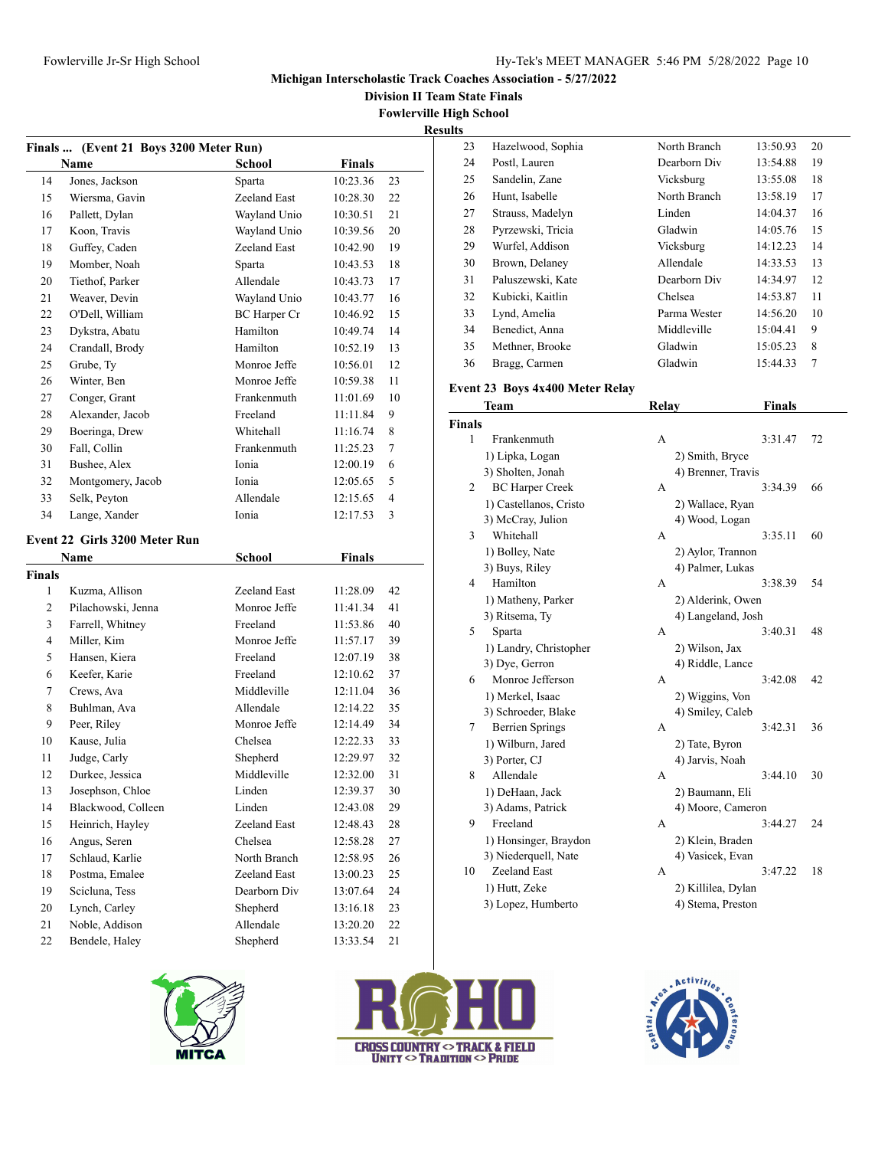**Division II Team State Finals**

**Fowlerville High School**

**Results**

|                     | Finals  (Event 21 Boys 3200 Meter Run) |                              |                      |                |
|---------------------|----------------------------------------|------------------------------|----------------------|----------------|
|                     | Name                                   | School                       | Finals               |                |
| 14                  | Jones, Jackson                         | Sparta                       | 10:23.36             | 23             |
| 15                  | Wiersma, Gavin                         | Zeeland East                 | 10:28.30             | 22             |
| 16                  | Pallett, Dylan                         | Wayland Unio                 | 10:30.51             | 21             |
| 17                  | Koon, Travis                           | Wayland Unio                 | 10:39.56             | 20             |
| 18                  | Guffey, Caden                          | Zeeland East                 | 10:42.90             | 19             |
| 19                  | Momber, Noah                           | Sparta                       | 10:43.53             | 18             |
| 20                  | Tiethof, Parker                        | Allendale                    | 10:43.73             | 17             |
| 21                  | Weaver, Devin                          | Wayland Unio                 | 10:43.77             | 16             |
| 22                  | O'Dell, William                        | BC Harper Cr                 | 10:46.92             | 15             |
| 23                  | Dykstra, Abatu                         | Hamilton                     | 10:49.74             | 14             |
| 24                  | Crandall, Brody                        | Hamilton                     | 10:52.19             | 13             |
| 25                  | Grube, Ty                              | Monroe Jeffe                 | 10:56.01             | 12             |
| 26                  | Winter, Ben                            | Monroe Jeffe                 | 10:59.38             | 11             |
| 27                  | Conger, Grant                          | Frankenmuth                  | 11:01.69             | 10             |
| 28                  | Alexander, Jacob                       | Freeland                     | 11:11.84             | 9              |
| 29                  | Boeringa, Drew                         | Whitehall                    | 11:16.74             | 8              |
| 30                  | Fall, Collin                           | Frankenmuth                  | 11:25.23             | 7              |
| 31                  | Bushee, Alex                           | Ionia                        | 12:00.19             | 6              |
| 32                  | Montgomery, Jacob                      | Ionia                        | 12:05.65             | 5              |
| 33                  | Selk, Peyton                           | Allendale                    | 12:15.65             | $\overline{4}$ |
| 34                  | Lange, Xander                          | Ionia                        | 12:17.53             | 3              |
|                     | Event 22 Girls 3200 Meter Run          |                              |                      |                |
|                     |                                        |                              |                      |                |
|                     |                                        |                              |                      |                |
|                     | Name                                   | <b>School</b>                | <b>Finals</b>        |                |
| 1                   |                                        |                              |                      |                |
|                     | Kuzma, Allison                         | Zeeland East<br>Monroe Jeffe | 11:28.09             | 42             |
| 2                   | Pilachowski, Jenna                     |                              | 11:41.34             | 41             |
| 3<br>$\overline{4}$ | Farrell, Whitney                       | Freeland<br>Monroe Jeffe     | 11:53.86             | 40             |
|                     | Miller, Kim                            | Freeland                     | 11:57.17             | 39             |
| 5                   | Hansen, Kiera                          |                              | 12:07.19             | 38             |
| 6<br>7              | Keefer, Karie                          | Freeland<br>Middleville      | 12:10.62             | 37             |
|                     | Crews, Ava                             | Allendale                    | 12:11.04             | 36             |
| 8                   | Buhlman, Ava                           |                              | 12:14.22             | 35             |
| 9                   | Peer, Riley                            | Monroe Jeffe                 | 12:14.49             | 34             |
| 10<br>11            | Kause, Julia                           | Chelsea                      | 12:22.33             | 33             |
|                     | Judge, Carly                           | Shepherd                     | 12:29.97             | 32             |
| 12                  | Durkee, Jessica                        | Middleville                  | 12:32.00             | 31             |
| 13                  | Josephson, Chloe                       | Linden                       | 12:39.37             | 30             |
| <b>Finals</b><br>14 | Blackwood, Colleen                     | Linden<br>Zeeland East       | 12:43.08             | 29             |
| 15                  | Heinrich, Hayley                       | Chelsea                      | 12:48.43             | 28             |
| 16                  | Angus, Seren                           |                              | 12:58.28             | 27             |
| 17                  | Schlaud, Karlie                        | North Branch                 | 12:58.95             | 26             |
| 18                  | Postma, Emalee                         | Zeeland East                 | 13:00.23             | 25             |
| 19                  | Scicluna, Tess                         | Dearborn Div                 | 13:07.64             | 24             |
| 20<br>21            | Lynch, Carley<br>Noble, Addison        | Shepherd<br>Allendale        | 13:16.18<br>13:20.20 | 23<br>22       |

| s  |                   |              |          |    |
|----|-------------------|--------------|----------|----|
| 23 | Hazelwood, Sophia | North Branch | 13:50.93 | 20 |
| 24 | Postl, Lauren     | Dearborn Div | 13:54.88 | 19 |
| 25 | Sandelin, Zane    | Vicksburg    | 13:55.08 | 18 |
| 26 | Hunt, Isabelle    | North Branch | 13:58.19 | 17 |
| 27 | Strauss, Madelyn  | Linden       | 14:04.37 | 16 |
| 28 | Pyrzewski, Tricia | Gladwin      | 14:05.76 | 15 |
| 29 | Wurfel, Addison   | Vicksburg    | 14:12.23 | 14 |
| 30 | Brown, Delaney    | Allendale    | 14:33.53 | 13 |
| 31 | Paluszewski, Kate | Dearborn Div | 14:34.97 | 12 |
| 32 | Kubicki, Kaitlin  | Chelsea      | 14:53.87 | 11 |
| 33 | Lynd, Amelia      | Parma Wester | 14:56.20 | 10 |
| 34 | Benedict, Anna    | Middleville  | 15:04.41 | 9  |
| 35 | Methner, Brooke   | Gladwin      | 15:05.23 | 8  |
| 36 | Bragg, Carmen     | Gladwin      | 15:44.33 | 7  |

### **Event 23 Boys 4x400 Meter Relay**

| Team           |                        | <b>Relay</b>       | <b>Finals</b> |    |
|----------------|------------------------|--------------------|---------------|----|
| <b>Finals</b>  |                        |                    |               |    |
| 1              | Frankenmuth            | A                  | 3:31.47       | 72 |
|                | 1) Lipka, Logan        | 2) Smith, Bryce    |               |    |
|                | 3) Sholten, Jonah      | 4) Brenner, Travis |               |    |
| 2              | <b>BC Harper Creek</b> | A                  | 3:34.39       | 66 |
|                | 1) Castellanos, Cristo | 2) Wallace, Ryan   |               |    |
|                | 3) McCray, Julion      | 4) Wood, Logan     |               |    |
| 3              | Whitehall              | A                  | 3:35.11       | 60 |
|                | 1) Bolley, Nate        | 2) Aylor, Trannon  |               |    |
|                | 3) Buys, Riley         | 4) Palmer, Lukas   |               |    |
| $\overline{4}$ | Hamilton               | A                  | 3:38.39       | 54 |
|                | 1) Matheny, Parker     | 2) Alderink, Owen  |               |    |
|                | 3) Ritsema, Ty         | 4) Langeland, Josh |               |    |
| 5              | Sparta                 | A                  | 3:40.31       | 48 |
|                | 1) Landry, Christopher | 2) Wilson, Jax     |               |    |
|                | 3) Dye, Gerron         | 4) Riddle, Lance   |               |    |
| 6              | Monroe Jefferson       | A                  | 3:42.08       | 42 |
|                | 1) Merkel, Isaac       | 2) Wiggins, Von    |               |    |
|                | 3) Schroeder, Blake    | 4) Smiley, Caleb   |               |    |
| 7              | <b>Berrien Springs</b> | A                  | 3:42.31       | 36 |
|                | 1) Wilburn, Jared      | 2) Tate, Byron     |               |    |
|                | 3) Porter, CJ          | 4) Jarvis, Noah    |               |    |
| 8              | Allendale              | A                  | 3:44.10       | 30 |
|                | 1) DeHaan, Jack        | 2) Baumann, Eli    |               |    |
|                | 3) Adams, Patrick      | 4) Moore, Cameron  |               |    |
| 9              | Freeland               | А                  | 3:44.27       | 24 |
|                | 1) Honsinger, Braydon  | 2) Klein, Braden   |               |    |
|                | 3) Niederquell, Nate   | 4) Vasicek, Evan   |               |    |
| 10             | Zeeland East           | A                  | 3:47.22       | 18 |
|                | 1) Hutt, Zeke          | 2) Killilea, Dylan |               |    |
|                | 3) Lopez, Humberto     | 4) Stema, Preston  |               |    |
|                |                        |                    |               |    |





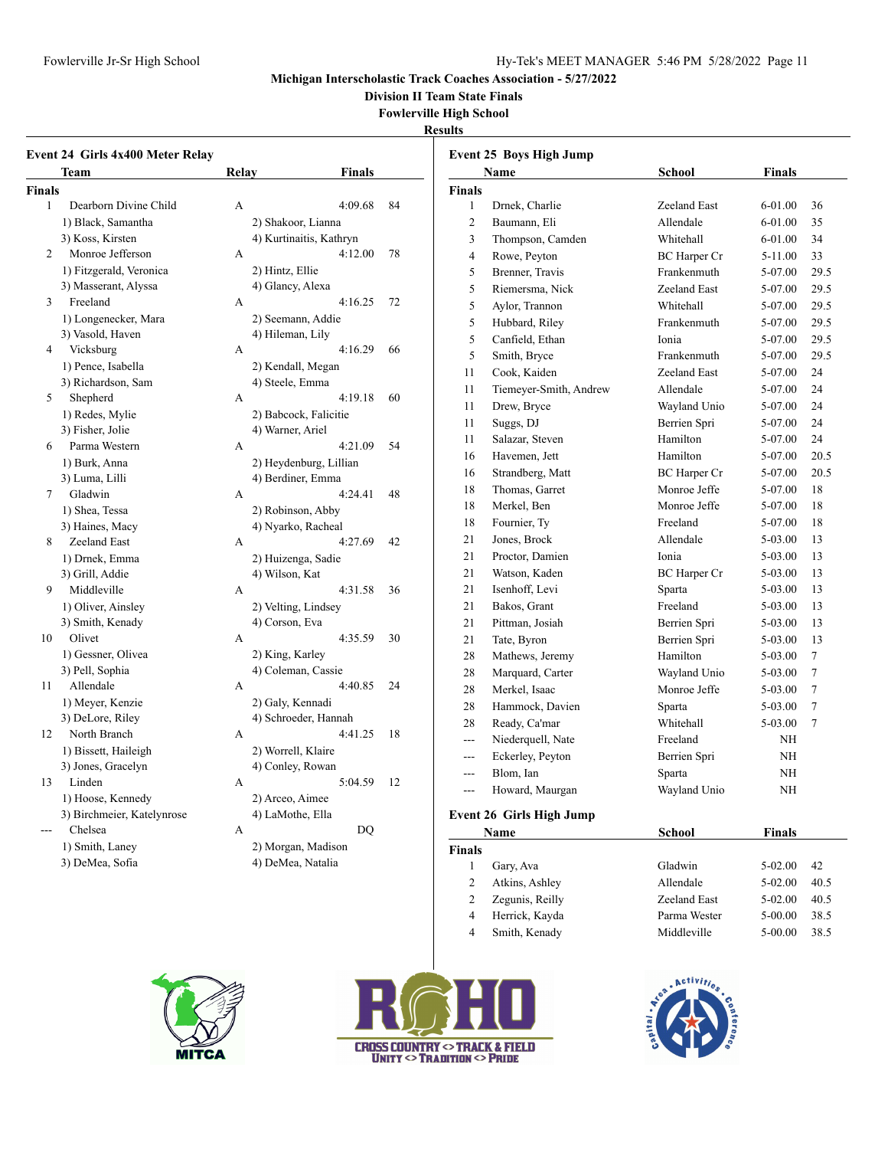### **Michigan Interscholastic Track Coaches Association - 5/27/2022**

**Division II Team State Finals**

#### **Fowlerville High School**

#### **Results**

|                | <b>Event 24 Girls 4x400 Meter Relay</b> |                       |                         |    |                | Event 25 Boys High Jump  |                     |               |                 |
|----------------|-----------------------------------------|-----------------------|-------------------------|----|----------------|--------------------------|---------------------|---------------|-----------------|
|                | Team                                    | <b>Relay</b>          | <b>Finals</b>           |    |                | Name                     | <b>School</b>       | <b>Finals</b> |                 |
| <b>Finals</b>  |                                         |                       |                         |    | <b>Finals</b>  |                          |                     |               |                 |
| 1              | Dearborn Divine Child                   | $\mathbf{A}$          | 4:09.68                 | 84 | $\mathbf{1}$   | Drnek, Charlie           | Zeeland East        | 6-01.00       | 36              |
|                | 1) Black, Samantha                      | 2) Shakoor, Lianna    |                         |    | $\mathfrak{2}$ | Baumann, Eli             | Allendale           | $6 - 01.00$   | 35              |
|                | 3) Koss, Kirsten                        |                       | 4) Kurtinaitis, Kathryn |    | $\mathfrak{Z}$ | Thompson, Camden         | Whitehall           | $6 - 01.00$   | 34              |
| 2              | Monroe Jefferson                        | A                     | 4:12.00                 | 78 | $\overline{4}$ | Rowe, Peyton             | <b>BC</b> Harper Cr | 5-11.00       | 33              |
|                | 1) Fitzgerald, Veronica                 | 2) Hintz, Ellie       |                         |    | 5              | Brenner, Travis          | Frankenmuth         | 5-07.00       | 29.5            |
|                | 3) Masserant, Alyssa                    | 4) Glancy, Alexa      |                         |    | 5              | Riemersma, Nick          | Zeeland East        | 5-07.00       | 29.5            |
| 3              | Freeland                                | A                     | 4:16.25                 | 72 | 5              | Aylor, Trannon           | Whitehall           | 5-07.00       | 29.5            |
|                | 1) Longenecker, Mara                    | 2) Seemann, Addie     |                         |    | 5              | Hubbard, Riley           | Frankenmuth         | 5-07.00       | 29.5            |
|                | 3) Vasold, Haven                        | 4) Hileman, Lily      |                         |    | 5              | Canfield, Ethan          | Ionia               | 5-07.00       | 29.5            |
| $\overline{4}$ | Vicksburg                               | A                     | 4:16.29                 | 66 | 5              | Smith, Bryce             | Frankenmuth         | 5-07.00       | 29.5            |
|                | 1) Pence, Isabella                      | 2) Kendall, Megan     |                         |    | 11             | Cook, Kaiden             | Zeeland East        | 5-07.00       | 24              |
|                | 3) Richardson, Sam                      | 4) Steele, Emma       |                         |    | 11             | Tiemeyer-Smith, Andrew   | Allendale           | 5-07.00       | 24              |
| 5              | Shepherd                                | A                     | 4:19.18                 | 60 | 11             | Drew, Bryce              | Wayland Unio        | 5-07.00       | 24              |
|                | 1) Redes, Mylie                         |                       | 2) Babcock, Falicitie   |    | 11             | Suggs, DJ                | Berrien Spri        | 5-07.00       | 24              |
|                | 3) Fisher, Jolie                        | 4) Warner, Ariel      |                         |    | 11             | Salazar, Steven          | Hamilton            | 5-07.00       | 24              |
| 6              | Parma Western                           | A                     | 4:21.09                 | 54 | 16             | Havemen, Jett            | Hamilton            | 5-07.00       | 20.5            |
|                | 1) Burk, Anna                           |                       | 2) Heydenburg, Lillian  |    | 16             | Strandberg, Matt         | <b>BC</b> Harper Cr | 5-07.00       | 20.5            |
|                | 3) Luma, Lilli                          | 4) Berdiner, Emma     |                         |    | 18             | Thomas, Garret           | Monroe Jeffe        | 5-07.00       | 18              |
| $\tau$         | Gladwin                                 | A                     | 4:24.41                 | 48 | 18             | Merkel, Ben              | Monroe Jeffe        | 5-07.00       | 18              |
|                | 1) Shea, Tessa                          | 2) Robinson, Abby     |                         |    | 18             | Fournier, Ty             | Freeland            | 5-07.00       | 18              |
|                | 3) Haines, Macy                         | 4) Nyarko, Racheal    |                         |    | 21             |                          | Allendale           |               | 13              |
| 8              | Zeeland East                            | A                     | 4:27.69                 | 42 |                | Jones, Brock             |                     | 5-03.00       |                 |
|                | 1) Drnek, Emma                          | 2) Huizenga, Sadie    |                         |    | 21             | Proctor, Damien          | Ionia               | 5-03.00       | 13              |
|                | 3) Grill, Addie                         | 4) Wilson, Kat        |                         |    | 21             | Watson, Kaden            | <b>BC</b> Harper Cr | 5-03.00       | 13              |
| 9              | Middleville                             | A                     | 4:31.58                 | 36 | 21             | Isenhoff, Levi           | Sparta              | 5-03.00       | 13              |
|                | 1) Oliver, Ainsley                      | 2) Velting, Lindsey   |                         |    | 21             | Bakos, Grant             | Freeland            | 5-03.00       | 13              |
|                | 3) Smith, Kenady                        | 4) Corson, Eva        |                         |    | 21             | Pittman, Josiah          | Berrien Spri        | 5-03.00       | 13              |
| 10             | Olivet                                  | A                     | 4:35.59                 | 30 | 21             | Tate, Byron              | Berrien Spri        | 5-03.00       | 13              |
|                | 1) Gessner, Olivea                      | 2) King, Karley       |                         |    | 28             | Mathews, Jeremy          | Hamilton            | 5-03.00       | $\tau$          |
|                | 3) Pell, Sophia                         | 4) Coleman, Cassie    |                         |    | 28             | Marquard, Carter         | Wayland Unio        | 5-03.00       | $\overline{7}$  |
| 11             | Allendale                               | A                     | 4:40.85                 | 24 | 28             | Merkel, Isaac            | Monroe Jeffe        | 5-03.00       | $7\phantom{.0}$ |
|                | 1) Meyer, Kenzie                        | 2) Galy, Kennadi      |                         |    | 28             | Hammock, Davien          | Sparta              | 5-03.00       | $\overline{7}$  |
|                | 3) DeLore, Riley                        |                       | 4) Schroeder, Hannah    |    | 28             | Ready, Ca'mar            | Whitehall           | 5-03.00       | $\overline{7}$  |
| 12             | North Branch                            | A                     | 4:41.25                 | 18 | $\overline{a}$ | Niederquell, Nate        | Freeland            | NH            |                 |
|                | 1) Bissett, Haileigh                    | 2) Worrell, Klaire    |                         |    | $\overline{a}$ | Eckerley, Peyton         | Berrien Spri        | NH            |                 |
|                | 3) Jones, Gracelyn                      | 4) Conley, Rowan      |                         |    | ---            | Blom, Ian                | Sparta              | NH            |                 |
| 13             | Linden                                  | A                     | 5:04.59                 | 12 | $\sim$ $\sim$  | Howard, Maurgan          | Wayland Unio        | NH            |                 |
|                | 1) Hoose, Kennedy                       | 2) Arceo, Aimee       |                         |    |                |                          |                     |               |                 |
| ---            | 3) Birchmeier, Katelynrose<br>Chelsea   | 4) LaMothe, Ella<br>A | <b>DQ</b>               |    |                | Event 26 Girls High Jump |                     |               |                 |
|                |                                         |                       | 2) Morgan, Madison      |    |                | Name                     | <b>School</b>       | <b>Finals</b> |                 |
|                | 1) Smith, Laney<br>3) DeMea, Sofia      | 4) DeMea, Natalia     |                         |    | <b>Finals</b>  |                          |                     |               |                 |
|                |                                         |                       |                         |    | 1              | Gary, Ava                | Gladwin             | 5-02.00       | 42              |
|                |                                         |                       |                         |    | $\overline{2}$ | Atkins, Ashley           | Allendale           | 5-02.00       | 40.5            |







2 Zegunis, Reilly Zeeland East 5-02.00 40.5 4 Herrick, Kayda Parma Wester 5-00.00 38.5 4 Smith, Kenady Middleville 5-00.00 38.5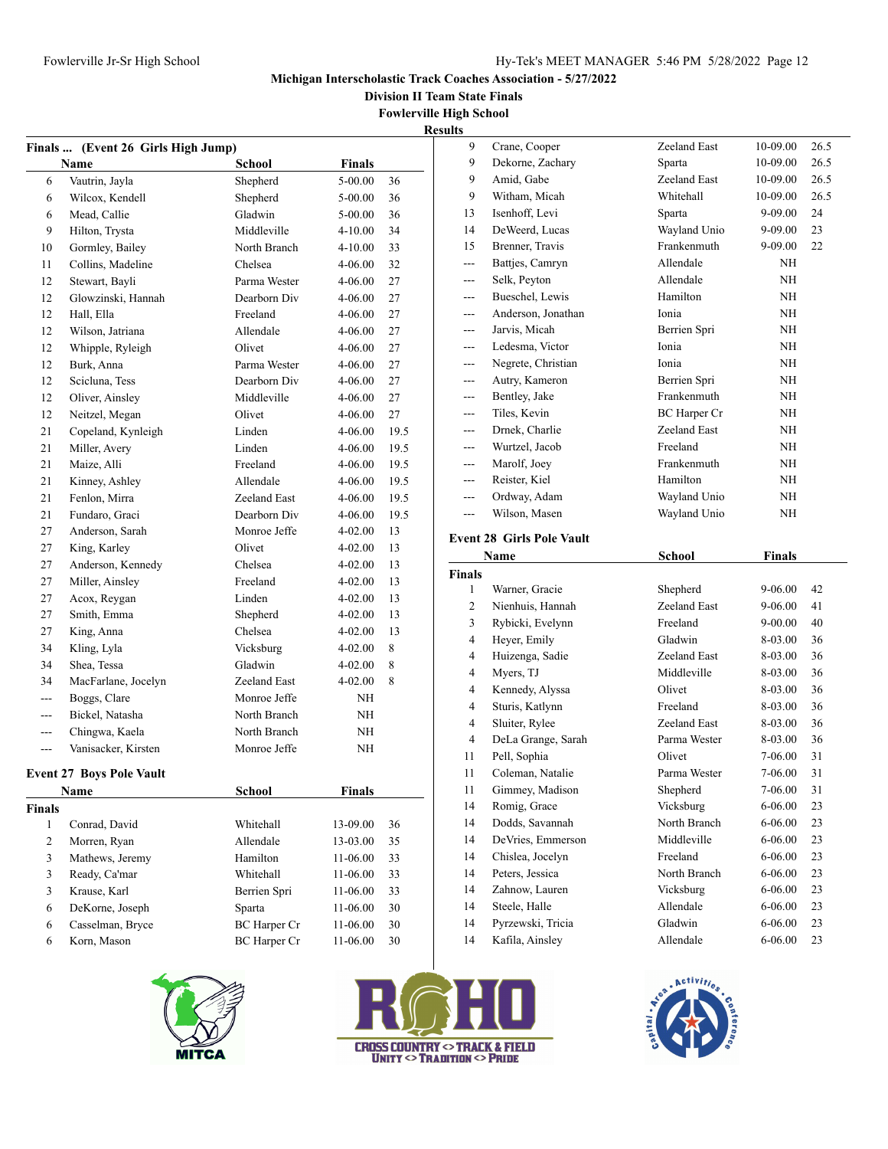**Division II Team State Finals**

**Fowlerville High School**

|                | Finals  (Event 26 Girls High Jump) |                     |             |      | <b>Results</b> |
|----------------|------------------------------------|---------------------|-------------|------|----------------|
|                | Name                               | School              | Finals      |      |                |
| 6              | Vautrin, Jayla                     | Shepherd            | 5-00.00     | 36   |                |
| 6              | Wilcox, Kendell                    | Shepherd            | 5-00.00     | 36   |                |
| 6              | Mead, Callie                       | Gladwin             | 5-00.00     | 36   |                |
| 9              | Hilton, Trysta                     | Middleville         | $4 - 10.00$ | 34   |                |
| 10             | Gormley, Bailey                    | North Branch        | $4 - 10.00$ | 33   |                |
| 11             | Collins, Madeline                  | Chelsea             | 4-06.00     | 32   |                |
| 12             | Stewart, Bayli                     | Parma Wester        | 4-06.00     | 27   |                |
| 12             | Glowzinski, Hannah                 | Dearborn Div        | 4-06.00     | 27   |                |
| 12             | Hall, Ella                         | Freeland            | 4-06.00     | 27   |                |
| 12             | Wilson, Jatriana                   | Allendale           | 4-06.00     | 27   |                |
| 12             | Whipple, Ryleigh                   | Olivet              | 4-06.00     | 27   |                |
| 12             | Burk, Anna                         | Parma Wester        | 4-06.00     | 27   |                |
| 12             | Scicluna, Tess                     | Dearborn Div        | 4-06.00     | 27   |                |
| 12             | Oliver, Ainsley                    | Middleville         | 4-06.00     | 27   |                |
| 12             | Neitzel, Megan                     | Olivet              | $4 - 06.00$ | 27   |                |
| 21             | Copeland, Kynleigh                 | Linden              | 4-06.00     | 19.5 |                |
| 21             | Miller, Avery                      | Linden              | 4-06.00     | 19.5 |                |
| 21             | Maize, Alli                        | Freeland            | $4 - 06.00$ | 19.5 |                |
| 21             | Kinney, Ashley                     | Allendale           | 4-06.00     | 19.5 |                |
| 21             | Fenlon, Mirra                      | Zeeland East        | $4 - 06.00$ | 19.5 |                |
| 21             | Fundaro, Graci                     | Dearborn Div        | 4-06.00     | 19.5 |                |
| 27             | Anderson, Sarah                    | Monroe Jeffe        | 4-02.00     | 13   | E١             |
| 27             | King, Karley                       | Olivet              | 4-02.00     | 13   |                |
| 27             | Anderson, Kennedy                  | Chelsea             | 4-02.00     | 13   | Fi             |
| 27             | Miller, Ainsley                    | Freeland            | 4-02.00     | 13   |                |
| 27             | Acox, Reygan                       | Linden              | $4 - 02.00$ | 13   |                |
| 27             | Smith, Emma                        | Shepherd            | 4-02.00     | 13   |                |
| 27             | King, Anna                         | Chelsea             | 4-02.00     | 13   |                |
| 34             | Kling, Lyla                        | Vicksburg           | $4 - 02.00$ | 8    |                |
| 34             | Shea, Tessa                        | Gladwin             | 4-02.00     | 8    |                |
| 34             | MacFarlane, Jocelyn                | Zeeland East        | $4 - 02.00$ | 8    |                |
| $---$          | Boggs, Clare                       | Monroe Jeffe        | NH          |      |                |
| $\cdots$       | Bickel, Natasha                    | North Branch        | NH          |      |                |
| ---            | Chingwa, Kaela                     | North Branch        | NH          |      |                |
| $---$          | Vanisacker, Kirsten                | Monroe Jeffe        | NH          |      |                |
|                | <b>Event 27 Boys Pole Vault</b>    |                     |             |      |                |
|                | Name                               | School              | Finals      |      |                |
| <b>Finals</b>  |                                    |                     |             |      |                |
| 1              | Conrad, David                      | Whitehall           | 13-09.00    | 36   |                |
| $\overline{c}$ | Morren, Ryan                       | Allendale           | 13-03.00    | 35   |                |
| 3              | Mathews, Jeremy                    | Hamilton            | 11-06.00    | 33   |                |
| 3              | Ready, Ca'mar                      | Whitehall           | 11-06.00    | 33   |                |
| 3              | Krause, Karl                       | Berrien Spri        | 11-06.00    | 33   |                |
| 6              | DeKorne, Joseph                    | Sparta              | 11-06.00    | 30   |                |
| 6              | Casselman, Bryce                   | <b>BC</b> Harper Cr | 11-06.00    | 30   |                |
| 6              | Korn, Mason                        | BC Harper Cr        | 11-06.00    | 30   |                |





| s   |                    |                     |           |      |
|-----|--------------------|---------------------|-----------|------|
| 9   | Crane, Cooper      | Zeeland East        | 10-09.00  | 26.5 |
| 9   | Dekorne, Zachary   | Sparta              | 10-09.00  | 26.5 |
| 9   | Amid, Gabe         | Zeeland East        | 10-09.00  | 26.5 |
| 9   | Witham, Micah      | Whitehall           | 10-09.00  | 26.5 |
| 13  | Isenhoff, Levi     | Sparta              | 9-09.00   | 24   |
| 14  | DeWeerd, Lucas     | Wayland Unio        | 9-09.00   | 23   |
| 15  | Brenner, Travis    | Frankenmuth         | 9-09.00   | 22   |
|     | Battjes, Camryn    | Allendale           | NH        |      |
|     | Selk, Peyton       | Allendale           | <b>NH</b> |      |
|     | Bueschel, Lewis    | Hamilton            | NH        |      |
| --- | Anderson, Jonathan | Ionia               | NH        |      |
| --- | Jarvis, Micah      | Berrien Spri        | NH        |      |
| --- | Ledesma, Victor    | Ionia               | NH        |      |
| --- | Negrete, Christian | Ionia               | NH        |      |
| --- | Autry, Kameron     | Berrien Spri        | NH        |      |
| --- | Bentley, Jake      | Frankenmuth         | NH        |      |
| --- | Tiles, Kevin       | <b>BC</b> Harper Cr | NH        |      |
| --- | Drnek, Charlie     | Zeeland East        | NH        |      |
| --- | Wurtzel, Jacob     | Freeland            | NH        |      |
| --- | Marolf, Joey       | Frankenmuth         | NH        |      |
| --- | Reister, Kiel      | Hamilton            | <b>NH</b> |      |
| --- | Ordway, Adam       | Wayland Unio        | NH        |      |
| --- | Wilson, Masen      | Wayland Unio        | NH        |      |
|     |                    |                     |           |      |

# **Event 28 Girls Pole Vault**

| Name           |                    | School       | Finals      |    |
|----------------|--------------------|--------------|-------------|----|
| <b>Finals</b>  |                    |              |             |    |
| 1              | Warner, Gracie     | Shepherd     | 9-06.00     | 42 |
| $\overline{c}$ | Nienhuis, Hannah   | Zeeland East | 9-06.00     | 41 |
| 3              | Rybicki, Evelynn   | Freeland     | $9 - 00.00$ | 40 |
| $\overline{4}$ | Heyer, Emily       | Gladwin      | 8-03.00     | 36 |
| 4              | Huizenga, Sadie    | Zeeland East | 8-03.00     | 36 |
| 4              | Myers, TJ          | Middleville  | 8-03.00     | 36 |
| 4              | Kennedy, Alyssa    | Olivet       | 8-03.00     | 36 |
| 4              | Sturis, Katlynn    | Freeland     | 8-03.00     | 36 |
| 4              | Sluiter, Rylee     | Zeeland East | 8-03.00     | 36 |
| $\overline{4}$ | DeLa Grange, Sarah | Parma Wester | 8-03.00     | 36 |
| 11             | Pell, Sophia       | Olivet       | 7-06.00     | 31 |
| 11             | Coleman, Natalie   | Parma Wester | 7-06.00     | 31 |
| 11             | Gimmey, Madison    | Shepherd     | 7-06.00     | 31 |
| 14             | Romig, Grace       | Vicksburg    | 6-06.00     | 23 |
| 14             | Dodds, Savannah    | North Branch | $6 - 06.00$ | 23 |
| 14             | DeVries, Emmerson  | Middleville  | $6 - 06.00$ | 23 |
| 14             | Chislea, Jocelyn   | Freeland     | 6-06.00     | 23 |
| 14             | Peters, Jessica    | North Branch | $6 - 06.00$ | 23 |
| 14             | Zahnow, Lauren     | Vicksburg    | 6-06.00     | 23 |
| 14             | Steele, Halle      | Allendale    | 6-06.00     | 23 |
| 14             | Pyrzewski, Tricia  | Gladwin      | $6 - 06.00$ | 23 |
| 14             | Kafila, Ainslev    | Allendale    | 6-06.00     | 23 |

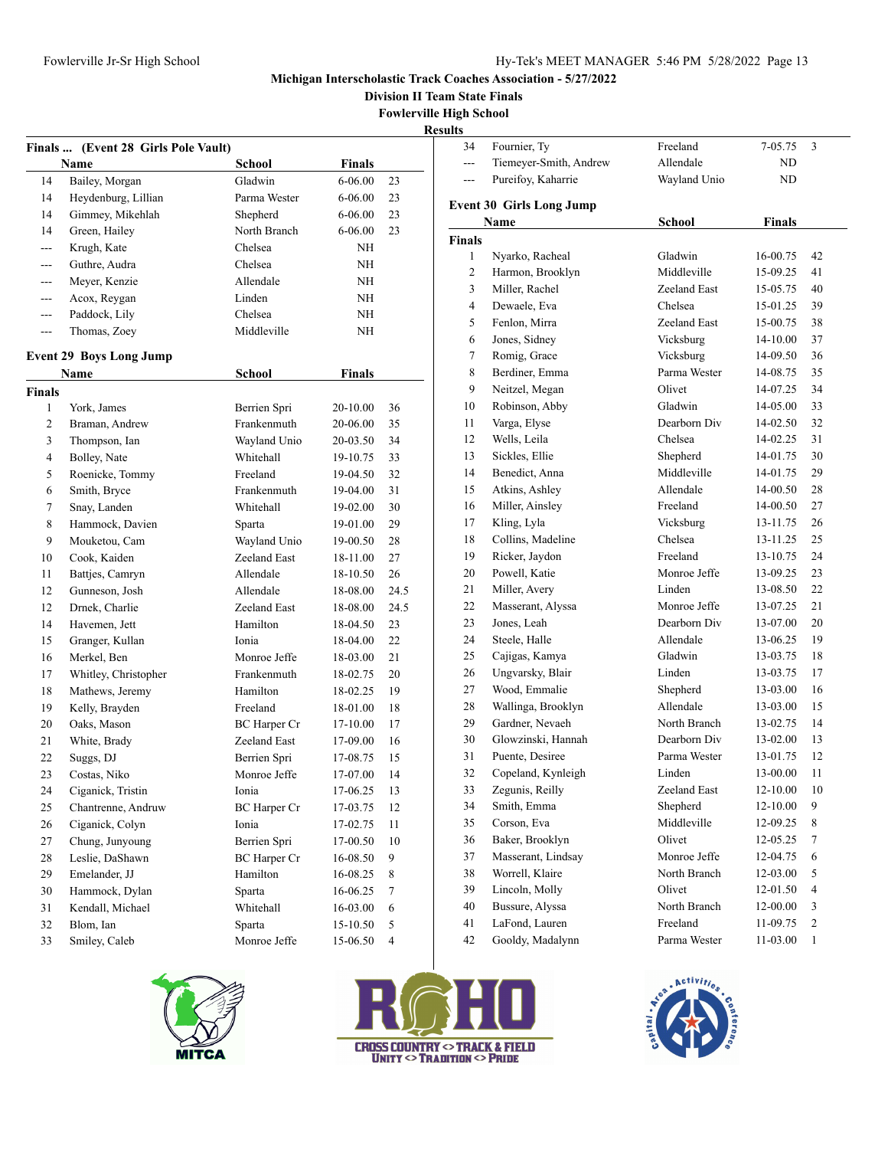**Division II Team State Finals**

**e High School** 

|               |                                     |                     |               | Fowlerville<br>Re |
|---------------|-------------------------------------|---------------------|---------------|-------------------|
|               | Finals  (Event 28 Girls Pole Vault) |                     |               |                   |
|               | Name                                | School              | Finals        |                   |
| 14            | Bailey, Morgan                      | Gladwin             | 6-06.00       | 23                |
| 14            | Heydenburg, Lillian                 | Parma Wester        | 6-06.00       | 23                |
| 14            | Gimmey, Mikehlah                    | Shepherd            | 6-06.00       | 23                |
| 14            | Green, Hailey                       | North Branch        | $6 - 06.00$   | 23                |
| $---$         | Krugh, Kate                         | Chelsea             | NH            |                   |
|               | Guthre, Audra                       | Chelsea             | NH            |                   |
| ---           | Meyer, Kenzie                       | Allendale           | NH            |                   |
| $---$         | Acox, Reygan                        | Linden              | NH            |                   |
| ---           | Paddock, Lily                       | Chelsea             | NH            |                   |
| ---           | Thomas, Zoey                        | Middleville         | NH            |                   |
|               |                                     |                     |               |                   |
|               | <b>Event 29 Boys Long Jump</b>      |                     |               |                   |
|               | Name                                | School              | <b>Finals</b> |                   |
| <b>Finals</b> |                                     |                     |               |                   |
| 1             | York, James                         | Berrien Spri        | 20-10.00      | 36                |
| 2             | Braman, Andrew                      | Frankenmuth         | 20-06.00      | 35                |
| 3             | Thompson, Ian                       | Wayland Unio        | 20-03.50      | 34                |
| 4             | Bolley, Nate                        | Whitehall           | 19-10.75      | 33                |
| 5             | Roenicke, Tommy                     | Freeland            | 19-04.50      | 32                |
| 6             | Smith, Bryce                        | Frankenmuth         | 19-04.00      | 31                |
| 7             | Snay, Landen                        | Whitehall           | 19-02.00      | 30                |
| 8             | Hammock, Davien                     | Sparta              | 19-01.00      | 29                |
| 9             | Mouketou, Cam                       | Wayland Unio        | 19-00.50      | 28                |
| 10            | Cook, Kaiden                        | Zeeland East        | 18-11.00      | 27                |
| 11            | Battjes, Camryn                     | Allendale           | 18-10.50      | 26                |
| 12            | Gunneson, Josh                      | Allendale           | 18-08.00      | 24.5              |
| 12            | Drnek, Charlie                      | Zeeland East        | 18-08.00      | 24.5              |
| 14            | Havemen, Jett                       | Hamilton            | 18-04.50      | 23                |
| 15            | Granger, Kullan                     | Ionia               | 18-04.00      | 22                |
| 16            | Merkel, Ben                         | Monroe Jeffe        | 18-03.00      | 21                |
| 17            | Whitley, Christopher                | Frankenmuth         | 18-02.75      | 20                |
| 18            | Mathews, Jeremy                     | Hamilton            | 18-02.25      | 19                |
| 19            | Kelly, Brayden                      | Freeland            | 18-01.00      | 18                |
| 20            | Oaks, Mason                         | <b>BC</b> Harper Cr | 17-10.00      | 17                |
| 21            | White, Brady                        | Zeeland East        | 17-09.00      | 16                |
| 22            | Suggs, DJ                           | Berrien Spri        | 17-08.75      | 15                |
| 23            | Costas, Niko                        | Monroe Jeffe        | 17-07.00      | 14                |
| 24            | Ciganick, Tristin                   | Ionia               | 17-06.25      | 13                |
| 25            | Chantrenne, Andruw                  | BC Harper Cr        | 17-03.75      | 12                |
| 26            | Ciganick, Colyn                     | Ionia               | 17-02.75      | 11                |
| 27            | Chung, Junyoung                     | Berrien Spri        | 17-00.50      | 10                |
| 28            | Leslie, DaShawn                     | <b>BC</b> Harper Cr | 16-08.50      | 9                 |
| 29            | Emelander, JJ                       | Hamilton            | 16-08.25      | 8                 |
| 30            | Hammock, Dylan                      | Sparta              | 16-06.25      | 7                 |
| 31            | Kendall, Michael                    | Whitehall           | 16-03.00      | 6                 |
| 32            | Blom, Ian                           | Sparta              | 15-10.50      | 5                 |
|               |                                     |                     |               |                   |

| е гиди эсноог<br>esults |                                 |                              |                      |                |
|-------------------------|---------------------------------|------------------------------|----------------------|----------------|
| 34                      | Fournier, Ty                    | Freeland                     | 7-05.75              | 3              |
| ---                     | Tiemeyer-Smith, Andrew          | Allendale                    | ND                   |                |
| ---                     | Pureifoy, Kaharrie              | Wayland Unio                 | ND                   |                |
|                         |                                 |                              |                      |                |
|                         | <b>Event 30 Girls Long Jump</b> |                              |                      |                |
|                         | Name                            | School                       | <b>Finals</b>        |                |
| <b>Finals</b>           |                                 |                              |                      |                |
| 1                       | Nyarko, Racheal                 | Gladwin                      | 16-00.75             | 42             |
| 2                       | Harmon, Brooklyn                | Middleville                  | 15-09.25             | 41             |
| 3                       | Miller, Rachel                  | Zeeland East                 | 15-05.75             | 40             |
| 4                       | Dewaele, Eva                    | Chelsea                      | 15-01.25             | 39             |
| 5                       | Fenlon, Mirra                   | Zeeland East                 | 15-00.75             | 38             |
| 6                       | Jones, Sidney                   | Vicksburg                    | 14-10.00             | 37             |
| 7                       | Romig, Grace                    | Vicksburg                    | 14-09.50             | 36             |
| 8                       | Berdiner, Emma                  | Parma Wester                 | 14-08.75             | 35             |
| 9                       | Neitzel, Megan                  | Olivet                       | 14-07.25             | 34             |
| 10                      | Robinson, Abby                  | Gladwin                      | 14-05.00             | 33             |
| 11                      | Varga, Elyse                    | Dearborn Div                 | 14-02.50             | 32             |
| 12                      | Wells, Leila                    | Chelsea                      | 14-02.25             | 31             |
| 13                      | Sickles, Ellie                  | Shepherd                     | 14-01.75             | 30             |
| 14                      | Benedict, Anna                  | Middleville                  | 14-01.75             | 29             |
| 15                      | Atkins, Ashley                  | Allendale                    | 14-00.50             | 28             |
| 16                      | Miller, Ainsley                 | Freeland                     | 14-00.50             | 27             |
| 17                      | Kling, Lyla                     | Vicksburg                    | 13-11.75             | 26             |
| 18                      | Collins, Madeline               | Chelsea                      | 13-11.25             | 25             |
| 19                      | Ricker, Jaydon                  | Freeland                     | 13-10.75             | 24             |
| 20                      | Powell, Katie                   | Monroe Jeffe                 | 13-09.25             | 23             |
| 21                      | Miller, Avery                   | Linden                       | 13-08.50             | 22             |
| 22                      | Masserant, Alyssa               | Monroe Jeffe<br>Dearborn Div | 13-07.25             | 21             |
| 23<br>24                | Jones, Leah                     | Allendale                    | 13-07.00             | 20             |
| 25                      | Steele, Halle<br>Cajigas, Kamya | Gladwin                      | 13-06.25<br>13-03.75 | 19<br>18       |
| 26                      | Ungvarsky, Blair                | Linden                       | 13-03.75             | 17             |
| 27                      | Wood, Emmalie                   | Shepherd                     | 13-03.00             | 16             |
| 28                      | Wallinga, Brooklyn              | Allendale                    | 13-03.00             | 15             |
| 29                      | Gardner, Nevaeh                 | North Branch                 | 13-02.75             | 14             |
| 30                      | Glowzinski, Hannah              | Dearborn Div                 | 13-02.00             | 13             |
| 31                      | Puente, Desiree                 | Parma Wester                 | 13-01.75             | 12             |
| 32                      | Copeland, Kynleigh              | Linden                       | 13-00.00             | 11             |
| 33                      | Zegunis, Reilly                 | Zeeland East                 | 12-10.00             | 10             |
| 34                      | Smith, Emma                     | Shepherd                     | 12-10.00             | 9              |
| 35                      | Corson, Eva                     | Middleville                  | 12-09.25             | 8              |
| 36                      | Baker, Brooklyn                 | Olivet                       | 12-05.25             | 7              |
| 37                      | Masserant, Lindsay              | Monroe Jeffe                 | 12-04.75             | 6              |
| 38                      | Worrell, Klaire                 | North Branch                 | 12-03.00             | 5              |
| 39                      | Lincoln, Molly                  | Olivet                       | 12-01.50             | $\overline{4}$ |
| 40                      | Bussure, Alyssa                 | North Branch                 | 12-00.00             | 3              |
| 41                      | LaFond, Lauren                  | Freeland                     | 11-09.75             | $\sqrt{2}$     |
| 42                      | Gooldy, Madalynn                | Parma Wester                 | 11-03.00             | $\mathbf{1}$   |
|                         |                                 |                              |                      |                |





Smiley, Caleb Monroe Jeffe 15-06.50 4

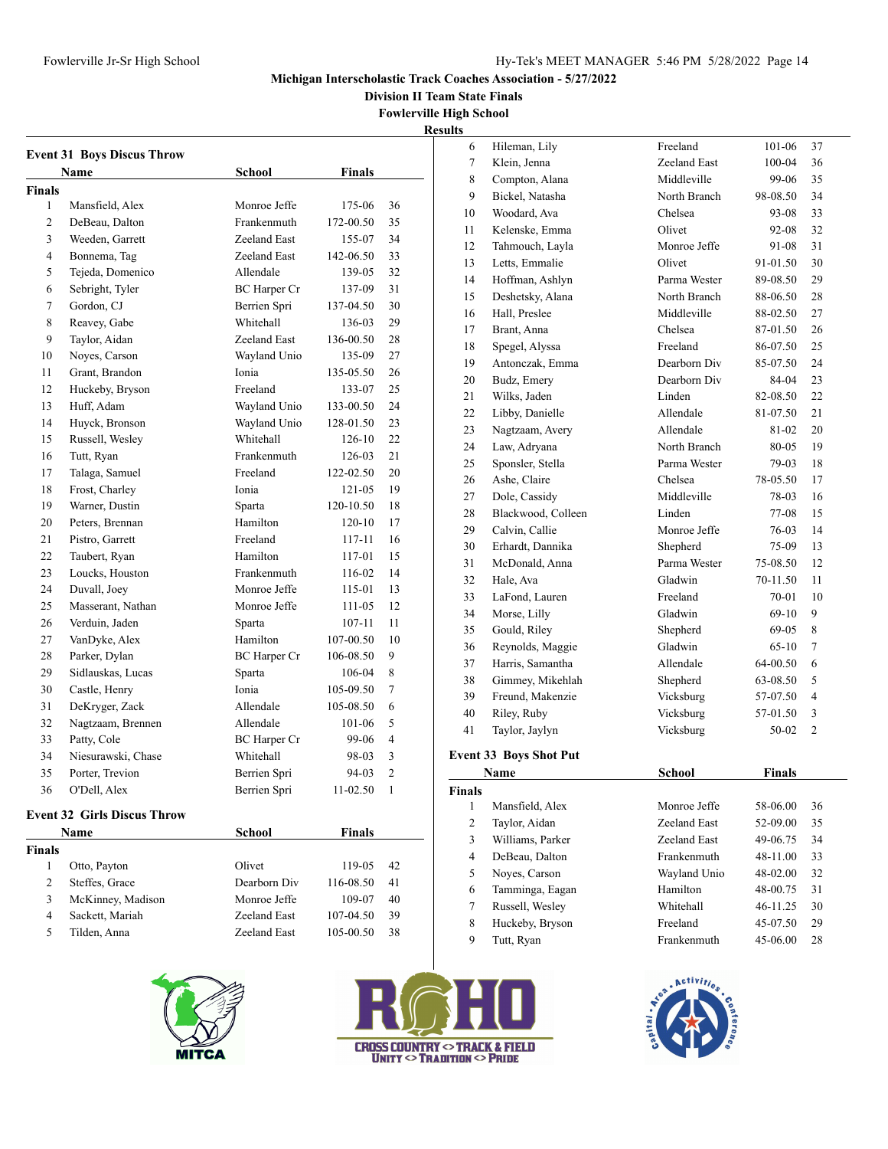Hileman, Lily Freeland 101-06 37

#### **Michigan Interscholastic Track Coaches Association - 5/27/2022**

**Division II Team State Finals**

**Fowlerville High School Results**

|               | <b>Event 31 Boys Discus Throw</b>  |                     |               |                |
|---------------|------------------------------------|---------------------|---------------|----------------|
|               | Name                               | <b>School</b>       | <b>Finals</b> |                |
| <b>Finals</b> |                                    |                     |               |                |
| 1             | Mansfield, Alex                    | Monroe Jeffe        | 175-06        | 36             |
| 2             | DeBeau, Dalton                     | Frankenmuth         | 172-00.50     | 35             |
| 3             | Weeden, Garrett                    | Zeeland East        | 155-07        | 34             |
| 4             | Bonnema, Tag                       | Zeeland East        | 142-06.50     | 33             |
| 5             | Tejeda, Domenico                   | Allendale           | 139-05        | 32             |
| 6             | Sebright, Tyler                    | <b>BC</b> Harper Cr | 137-09        | 31             |
| 7             | Gordon, CJ                         | Berrien Spri        | 137-04.50     | 30             |
| 8             | Reavey, Gabe                       | Whitehall           | 136-03        | 29             |
| 9             | Taylor, Aidan                      | Zeeland East        | 136-00.50     | 28             |
| 10            | Noves, Carson                      | Wayland Unio        | 135-09        | 27             |
| 11            | Grant, Brandon                     | Ionia               | 135-05.50     | 26             |
| 12            | Huckeby, Bryson                    | Freeland            | 133-07        | 25             |
| 13            | Huff, Adam                         | Wayland Unio        | 133-00.50     | 24             |
| 14            | Huyck, Bronson                     | Wayland Unio        | 128-01.50     | 23             |
| 15            | Russell, Wesley                    | Whitehall           | 126-10        | 22             |
| 16            | Tutt, Ryan                         | Frankenmuth         | 126-03        | 21             |
| 17            | Talaga, Samuel                     | Freeland            | 122-02.50     | 20             |
| 18            | Frost, Charley                     | Ionia               | $121 - 05$    | 19             |
| 19            | Warner, Dustin                     | Sparta              | 120-10.50     | 18             |
| 20            | Peters, Brennan                    | Hamilton            | 120-10        | 17             |
| 21            | Pistro, Garrett                    | Freeland            | 117-11        | 16             |
| 22            | Taubert, Ryan                      | Hamilton            | 117-01        | 15             |
| 23            | Loucks, Houston                    | Frankenmuth         | 116-02        | 14             |
| 24            | Duvall, Joey                       | Monroe Jeffe        | 115-01        | 13             |
| 25            | Masserant, Nathan                  | Monroe Jeffe        | 111-05        | 12             |
| 26            | Verduin, Jaden                     | Sparta              | 107-11        | 11             |
| 27            | VanDyke, Alex                      | Hamilton            | 107-00.50     | 10             |
| 28            | Parker, Dylan                      | <b>BC</b> Harper Cr | 106-08.50     | 9              |
| 29            | Sidlauskas, Lucas                  | Sparta              | 106-04        | 8              |
| 30            | Castle, Henry                      | Ionia               | 105-09.50     | 7              |
| 31            | DeKryger, Zack                     | Allendale           | 105-08.50     | 6              |
| 32            | Nagtzaam, Brennen                  | Allendale           | 101-06        | 5              |
| 33            | Patty, Cole                        | <b>BC</b> Harper Cr | 99-06         | 4              |
| 34            | Niesurawski, Chase                 | Whitehall           | 98-03         | 3              |
| 35            | Porter, Trevion                    | Berrien Spri        | 94-03         | $\overline{c}$ |
| 36            | O'Dell, Alex                       | Berrien Spri        | 11-02.50      | $\mathbf{1}$   |
|               | <b>Event 32 Girls Discus Throw</b> |                     |               |                |
|               | Name                               | School              | Finals        |                |

| 26   | Verduin, Jaden            | Sparta              | $107 - 11$    | 11             | ◡<br>1110100, L1111           |               |               |                         |
|------|---------------------------|---------------------|---------------|----------------|-------------------------------|---------------|---------------|-------------------------|
|      |                           |                     |               |                | Gould, Riley<br>35            | Shepherd      | $69-05$ 8     |                         |
| 27   | VanDyke, Alex             | Hamilton            | 107-00.50     | 10             | 36<br>Reynolds, Maggie        | Gladwin       | $65-10$       | 7                       |
| 28   | Parker, Dylan             | <b>BC</b> Harper Cr | 106-08.50     | 9              | Harris, Samantha<br>37        | Allendale     | 64-00.50      | - 6                     |
| 29   | Sidlauskas, Lucas         | Sparta              | 106-04        | 8              | 38<br>Gimmey, Mikehlah        | Shepherd      | 63-08.50      | $\overline{5}$          |
| 30   | Castle, Henry             | Ionia               | 105-09.50     | 7              | 39<br>Freund, Makenzie        | Vicksburg     | 57-07.50      | $\overline{4}$          |
| 31   | DeKryger, Zack            | Allendale           | 105-08.50     | 6              | 40<br>Riley, Ruby             | Vicksburg     | 57-01.50      | $\overline{\mathbf{3}}$ |
| 32   | Nagtzaam, Brennen         | Allendale           | 101-06        | 5              | 41<br>Taylor, Jaylyn          | Vicksburg     | $50-02$ 2     |                         |
| 33   | Patty, Cole               | <b>BC</b> Harper Cr | 99-06         | $\overline{4}$ |                               |               |               |                         |
| 34   | Niesurawski, Chase        | Whitehall           | 98-03         | 3              | <b>Event 33 Boys Shot Put</b> |               |               |                         |
| 35   | Porter, Trevion           | Berrien Spri        | 94-03         | 2              | Name                          | <b>School</b> | <b>Finals</b> |                         |
| 36   | O'Dell, Alex              | Berrien Spri        | $11-02.50$    | 1              | <b>Finals</b>                 |               |               |                         |
|      | ent 32 Girls Discus Throw |                     |               |                | Mansfield, Alex               | Monroe Jeffe  | 58-06.00      | 36                      |
|      |                           |                     |               |                | Taylor, Aidan                 | Zeeland East  | 52-09.00      | 35                      |
|      | Name                      | School              | <b>Finals</b> |                | Williams, Parker<br>3         | Zeeland East  | 49-06.75      | 34                      |
| ıals |                           |                     |               |                | DeBeau, Dalton<br>4           | Frankenmuth   | 48-11.00      | 33                      |
|      | Otto, Payton              | Olivet              | 119-05        | 42             | Noyes, Carson<br>5            | Wayland Unio  | 48-02.00      | 32                      |
| 2    | Steffes, Grace            | Dearborn Div        | 116-08.50     | 41             | Tamminga, Eagan<br>6          | Hamilton      | 48-00.75      | 31                      |
| 3    | McKinney, Madison         | Monroe Jeffe        | 109-07        | 40             | Russell, Wesley               | Whitehall     | 46-11.25      | 30                      |
| 4    | Sackett, Mariah           | Zeeland East        | 107-04.50     | 39             | 8<br>Huckeby, Bryson          | Freeland      | 45-07.50      | 29                      |
| 5    | Tilden, Anna              | Zeeland East        | 105-00.50     | 38             | 9<br>Tutt, Ryan               | Frankenmuth   | 45-06.00      | 28                      |
|      |                           |                     |               |                |                               |               |               |                         |
|      |                           |                     |               |                |                               |               |               |                         |





| 7              | Klein, Jenna         | Zeeland East  | 100-04        | 36             |  |
|----------------|----------------------|---------------|---------------|----------------|--|
| 8              | Compton, Alana       | Middleville   | 99-06         | 35             |  |
| 9              | Bickel, Natasha      | North Branch  | 98-08.50      | 34             |  |
| 10             | Woodard, Ava         | Chelsea       | 93-08         | 33             |  |
| 11             | Kelenske, Emma       | Olivet        | 92-08         | 32             |  |
| 12             | Tahmouch, Layla      | Monroe Jeffe  | 91-08         | 31             |  |
| 13             | Letts, Emmalie       | Olivet        | 91-01.50      | 30             |  |
| 14             | Hoffman, Ashlyn      | Parma Wester  | 89-08.50      | 29             |  |
| 15             | Deshetsky, Alana     | North Branch  | 88-06.50      | 28             |  |
| 16             | Hall, Preslee        | Middleville   | 88-02.50      | 27             |  |
| 17             | Brant, Anna          | Chelsea       | 87-01.50      | 26             |  |
| 18             | Spegel, Alyssa       | Freeland      | 86-07.50      | 25             |  |
| 19             | Antonczak, Emma      | Dearborn Div  | 85-07.50      | 24             |  |
| 20             | Budz, Emery          | Dearborn Div  | 84-04         | 23             |  |
| 21             | Wilks, Jaden         | Linden        | 82-08.50      | 22             |  |
| 22             | Libby, Danielle      | Allendale     | 81-07.50      | 21             |  |
| 23             | Nagtzaam, Avery      | Allendale     | 81-02         | 20             |  |
| 24             | Law, Adryana         | North Branch  | 80-05         | 19             |  |
| 25             | Sponsler, Stella     | Parma Wester  | 79-03         | 18             |  |
| 26             | Ashe, Claire         | Chelsea       | 78-05.50      | 17             |  |
| 27             | Dole, Cassidy        | Middleville   | 78-03         | 16             |  |
| 28             | Blackwood, Colleen   | Linden        | 77-08         | 15             |  |
| 29             | Calvin, Callie       | Monroe Jeffe  | 76-03         | 14             |  |
| 30             | Erhardt, Dannika     | Shepherd      | 75-09         | 13             |  |
| 31             | McDonald, Anna       | Parma Wester  | 75-08.50      | 12             |  |
| 32             | Hale, Ava            | Gladwin       | 70-11.50      | 11             |  |
| 33             | LaFond, Lauren       | Freeland      | 70-01         | 10             |  |
| 34             | Morse, Lilly         | Gladwin       | 69-10         | 9              |  |
| 35             | Gould, Riley         | Shepherd      | 69-05         | 8              |  |
| 36             | Reynolds, Maggie     | Gladwin       | $65-10$       | 7              |  |
| 37             | Harris, Samantha     | Allendale     | 64-00.50      | 6              |  |
| 38             | Gimmey, Mikehlah     | Shepherd      | 63-08.50      | 5              |  |
| 39             | Freund, Makenzie     | Vicksburg     | 57-07.50      | $\overline{4}$ |  |
| 40             | Riley, Ruby          | Vicksburg     | 57-01.50      | 3              |  |
| 41             | Taylor, Jaylyn       | Vicksburg     | 50-02         | $\mathfrak{D}$ |  |
|                | ent 33 Boys Shot Put |               |               |                |  |
|                | Name                 | <b>School</b> | <b>Finals</b> |                |  |
| ıals           |                      |               |               |                |  |
| $\mathbf{1}$   | Mansfield, Alex      | Monroe Jeffe  | 58-06.00      | 36             |  |
| $\overline{c}$ | Taylor, Aidan        | Zeeland East  | 52-09.00      | 35             |  |
| 3              | Williams, Parker     | Zeeland East  | 49-06.75      | 34             |  |
| $\overline{4}$ | DeBeau, Dalton       | Frankenmuth   | 48-11.00      | 33             |  |
| 5              | Noyes, Carson        | Wayland Unio  | 48-02.00      | 32             |  |
| 6              | Tamminga, Eagan      | Hamilton      | 48-00.75      | 31             |  |

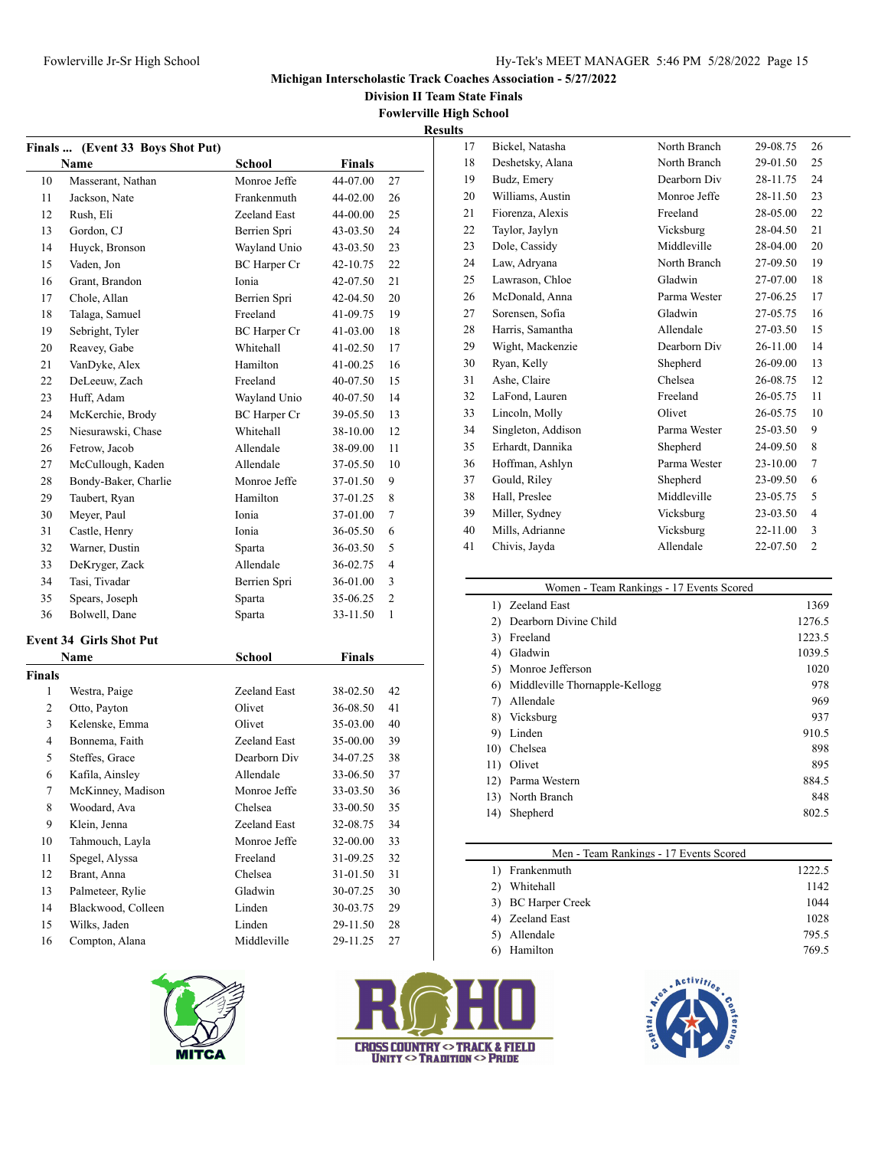**Division II Team State Finals**

**Fowlerville High School**

**Results**

|                | Finals  (Event 33 Boys Shot Put) |                     |               |              |
|----------------|----------------------------------|---------------------|---------------|--------------|
|                | <b>Name</b>                      | School              | Finals        |              |
| 10             | Masserant, Nathan                | Monroe Jeffe        | 44-07.00      | 27           |
| 11             | Jackson, Nate                    | Frankenmuth         | 44-02.00      | 26           |
| 12             | Rush, Eli                        | Zeeland East        | 44-00.00      | 25           |
| 13             | Gordon, CJ                       | Berrien Spri        | 43-03.50      | 24           |
| 14             | Huyck, Bronson                   | Wayland Unio        | 43-03.50      | 23           |
| 15             | Vaden, Jon                       | BC Harper Cr        | 42-10.75      | 22           |
| 16             | Grant, Brandon                   | Ionia               | 42-07.50      | 21           |
| 17             | Chole, Allan                     | Berrien Spri        | 42-04.50      | 20           |
| 18             | Talaga, Samuel                   | Freeland            | 41-09.75      | 19           |
| 19             | Sebright, Tyler                  | <b>BC</b> Harper Cr | 41-03.00      | 18           |
| 20             | Reavey, Gabe                     | Whitehall           | 41-02.50      | 17           |
| 21             | VanDyke, Alex                    | Hamilton            | 41-00.25      | 16           |
| 22             | DeLeeuw, Zach                    | Freeland            | 40-07.50      | 15           |
| 23             | Huff, Adam                       | Wayland Unio        | 40-07.50      | 14           |
| 24             | McKerchie, Brody                 | <b>BC</b> Harper Cr | 39-05.50      | 13           |
| 25             | Niesurawski, Chase               | Whitehall           | 38-10.00      | 12           |
| 26             | Fetrow, Jacob                    | Allendale           | 38-09.00      | 11           |
| 27             | McCullough, Kaden                | Allendale           | 37-05.50      | 10           |
| 28             | Bondy-Baker, Charlie             | Monroe Jeffe        | 37-01.50      | 9            |
| 29             | Taubert, Ryan                    | Hamilton            | 37-01.25      | 8            |
| 30             | Meyer, Paul                      | Ionia               | 37-01.00      | 7            |
| 31             | Castle, Henry                    | Ionia               | 36-05.50      | 6            |
| 32             | Warner, Dustin                   | Sparta              | 36-03.50      | 5            |
| 33             | DeKryger, Zack                   | Allendale           | 36-02.75      | 4            |
| 34             | Tasi, Tivadar                    | Berrien Spri        | 36-01.00      | 3            |
| 35             | Spears, Joseph                   | Sparta              | 35-06.25      | 2            |
| 36             | Bolwell, Dane                    | Sparta              | 33-11.50      | $\mathbf{1}$ |
|                | <b>Event 34 Girls Shot Put</b>   |                     |               |              |
|                | Name                             | <b>School</b>       | <b>Finals</b> |              |
| <b>Finals</b>  |                                  |                     |               |              |
| 1              | Westra, Paige                    | Zeeland East        | 38-02.50      | 42           |
| 2              | Otto, Payton                     | Olivet              | 36-08.50      | 41           |
| 3              | Kelenske, Emma                   | Olivet              | 35-03.00      | 40           |
| 4              | Bonnema, Faith                   | Zeeland East        | 35-00.00      | 39           |
| 5              | Steffes, Grace                   | Dearborn Div        | 34-07.25      | 38           |
| 6              | Kafila, Ainsley                  | Allendale           | 33-06.50      | 37           |
| $\overline{7}$ | McKinney, Madison                | Monroe Jeffe        | 33-03.50      | 36           |
| 8              | Woodard, Ava                     | Chelsea             | 33-00.50      | 35           |
| 9              | Klein, Jenna                     | Zeeland East        | 32-08.75      | 34           |
| 10             | Tahmouch, Layla                  | Monroe Jeffe        | 32-00.00      | 33           |
| 11             | Spegel, Alyssa                   | Freeland            | 31-09.25      | 32           |
| 12             | Brant, Anna                      | Chelsea             | 31-01.50      | 31           |
| 13             | Palmeteer, Rylie                 | Gladwin             | 30-07.25      | 30           |
| 14             | Blackwood, Colleen               | Linden              | 30-03.75      | 29           |
| 15             | Wilks, Jaden                     | Linden              | 29-11.50      | 28           |
| 16             | Compton, Alana                   | Middleville         | 29-11.25      | 27           |
|                |                                  |                     |               |              |





 $\overline{\phantom{0}}$ 

| σ. |                    |              |          |                |
|----|--------------------|--------------|----------|----------------|
| 17 | Bickel, Natasha    | North Branch | 29-08.75 | 26             |
| 18 | Deshetsky, Alana   | North Branch | 29-01.50 | 25             |
| 19 | Budz, Emery        | Dearborn Div | 28-11.75 | 24             |
| 20 | Williams, Austin   | Monroe Jeffe | 28-11.50 | 23             |
| 21 | Fiorenza, Alexis   | Freeland     | 28-05.00 | 22             |
| 22 | Taylor, Jaylyn     | Vicksburg    | 28-04.50 | 21             |
| 23 | Dole, Cassidy      | Middleville  | 28-04.00 | 20             |
| 24 | Law, Adryana       | North Branch | 27-09.50 | 19             |
| 25 | Lawrason, Chloe    | Gladwin      | 27-07.00 | 18             |
| 26 | McDonald, Anna     | Parma Wester | 27-06.25 | 17             |
| 27 | Sorensen, Sofia    | Gladwin      | 27-05.75 | 16             |
| 28 | Harris, Samantha   | Allendale    | 27-03.50 | 15             |
| 29 | Wight, Mackenzie   | Dearborn Div | 26-11.00 | 14             |
| 30 | Ryan, Kelly        | Shepherd     | 26-09.00 | 13             |
| 31 | Ashe, Claire       | Chelsea      | 26-08.75 | 12             |
| 32 | LaFond, Lauren     | Freeland     | 26-05.75 | 11             |
| 33 | Lincoln, Molly     | Olivet       | 26-05.75 | 10             |
| 34 | Singleton, Addison | Parma Wester | 25-03.50 | 9              |
| 35 | Erhardt, Dannika   | Shepherd     | 24-09.50 | 8              |
| 36 | Hoffman, Ashlyn    | Parma Wester | 23-10.00 | $\tau$         |
| 37 | Gould, Riley       | Shepherd     | 23-09.50 | 6              |
| 38 | Hall, Preslee      | Middleville  | 23-05.75 | 5              |
| 39 | Miller, Sydney     | Vicksburg    | 23-03.50 | 4              |
| 40 | Mills, Adrianne    | Vicksburg    | 22-11.00 | 3              |
| 41 | Chivis, Jayda      | Allendale    | 22-07.50 | $\overline{2}$ |

| Women - Team Rankings - 17 Events Scored |                                |        |  |  |
|------------------------------------------|--------------------------------|--------|--|--|
|                                          | 1) Zeeland East                | 1369   |  |  |
| 2)                                       | Dearborn Divine Child          | 1276.5 |  |  |
| 3)                                       | Freeland                       | 1223.5 |  |  |
| 4)                                       | Gladwin                        | 1039.5 |  |  |
| 5)                                       | Monroe Jefferson               | 1020   |  |  |
| 6)                                       | Middleville Thornapple-Kellogg | 978    |  |  |
| 7)                                       | Allendale                      | 969    |  |  |
| 8)                                       | Vicksburg                      | 937    |  |  |
| 9)                                       | Linden                         | 910.5  |  |  |
| 10)                                      | Chelsea                        | 898    |  |  |
| 11)                                      | Olivet                         | 895    |  |  |
| 12)                                      | Parma Western                  | 884.5  |  |  |
| 13)                                      | North Branch                   | 848    |  |  |
| 14)                                      | Shepherd                       | 802.5  |  |  |
|                                          |                                |        |  |  |

| Men - Team Rankings - 17 Events Scored |        |  |  |  |
|----------------------------------------|--------|--|--|--|
| Frankenmuth                            | 1222.5 |  |  |  |
| Whitehall                              | 1142   |  |  |  |
| <b>BC Harper Creek</b><br>3)           | 1044   |  |  |  |
| Zeeland East                           | 1028   |  |  |  |
| Allendale                              | 795.5  |  |  |  |
| Hamilton                               | 769.5  |  |  |  |
|                                        |        |  |  |  |